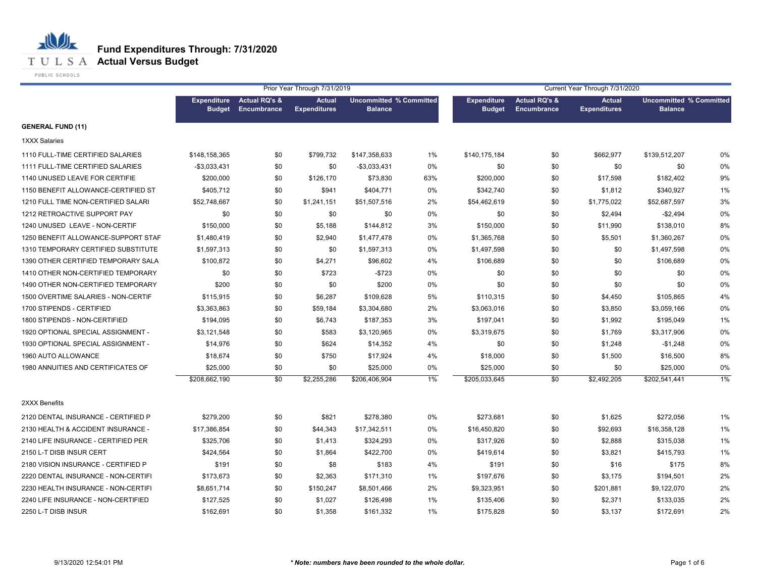**T U L S A Actual Versus Budget** 

PUBLIC SCHOOLS

|                                     | Prior Year Through 7/31/2019        |                                                |                                      |                                                  |     | Current Year Through 7/31/2020      |                                                |                                      |                                                  |    |
|-------------------------------------|-------------------------------------|------------------------------------------------|--------------------------------------|--------------------------------------------------|-----|-------------------------------------|------------------------------------------------|--------------------------------------|--------------------------------------------------|----|
|                                     | <b>Expenditure</b><br><b>Budget</b> | <b>Actual RQ's &amp;</b><br><b>Encumbrance</b> | <b>Actual</b><br><b>Expenditures</b> | <b>Uncommitted % Committed</b><br><b>Balance</b> |     | <b>Expenditure</b><br><b>Budget</b> | <b>Actual RQ's &amp;</b><br><b>Encumbrance</b> | <b>Actual</b><br><b>Expenditures</b> | <b>Uncommitted % Committed</b><br><b>Balance</b> |    |
| <b>GENERAL FUND (11)</b>            |                                     |                                                |                                      |                                                  |     |                                     |                                                |                                      |                                                  |    |
| <b>1XXX Salaries</b>                |                                     |                                                |                                      |                                                  |     |                                     |                                                |                                      |                                                  |    |
| 1110 FULL-TIME CERTIFIED SALARIES   | \$148,158,365                       | \$0                                            | \$799,732                            | \$147,358,633                                    | 1%  | \$140,175,184                       | \$0                                            | \$662,977                            | \$139,512,207                                    | 0% |
| 1111 FULL-TIME CERTIFIED SALARIES   | $-$3,033,431$                       | \$0                                            | \$0                                  | $-$3,033,431$                                    | 0%  | \$0                                 | \$0                                            | \$0                                  | \$0                                              | 0% |
| 1140 UNUSED LEAVE FOR CERTIFIE      | \$200,000                           | \$0                                            | \$126,170                            | \$73,830                                         | 63% | \$200,000                           | \$0                                            | \$17,598                             | \$182,402                                        | 9% |
| 1150 BENEFIT ALLOWANCE-CERTIFIED ST | \$405,712                           | \$0                                            | \$941                                | \$404,771                                        | 0%  | \$342,740                           | \$0                                            | \$1,812                              | \$340,927                                        | 1% |
| 1210 FULL TIME NON-CERTIFIED SALARI | \$52,748,667                        | \$0                                            | \$1,241,151                          | \$51,507,516                                     | 2%  | \$54,462,619                        | \$0                                            | \$1,775,022                          | \$52,687,597                                     | 3% |
| 1212 RETROACTIVE SUPPORT PAY        | \$0                                 | \$0                                            | \$0                                  | \$0                                              | 0%  | \$0                                 | \$0                                            | \$2,494                              | $-$2,494$                                        | 0% |
| 1240 UNUSED LEAVE - NON-CERTIF      | \$150,000                           | \$0                                            | \$5,188                              | \$144,812                                        | 3%  | \$150,000                           | \$0                                            | \$11,990                             | \$138,010                                        | 8% |
| 1250 BENEFIT ALLOWANCE-SUPPORT STAF | \$1,480,419                         | \$0                                            | \$2,940                              | \$1,477,478                                      | 0%  | \$1,365,768                         | \$0                                            | \$5,501                              | \$1,360,267                                      | 0% |
| 1310 TEMPORARY CERTIFIED SUBSTITUTE | \$1,597,313                         | \$0                                            | \$0                                  | \$1,597,313                                      | 0%  | \$1,497,598                         | \$0                                            | \$0                                  | \$1,497,598                                      | 0% |
| 1390 OTHER CERTIFIED TEMPORARY SALA | \$100,872                           | \$0                                            | \$4,271                              | \$96,602                                         | 4%  | \$106,689                           | \$0                                            | \$0                                  | \$106,689                                        | 0% |
| 1410 OTHER NON-CERTIFIED TEMPORARY  | \$0                                 | \$0                                            | \$723                                | $-$723$                                          | 0%  | \$0                                 | \$0                                            | \$0                                  | \$0                                              | 0% |
| 1490 OTHER NON-CERTIFIED TEMPORARY  | \$200                               | \$0                                            | \$0                                  | \$200                                            | 0%  | \$0                                 | \$0                                            | \$0                                  | \$0                                              | 0% |
| 1500 OVERTIME SALARIES - NON-CERTIF | \$115,915                           | \$0                                            | \$6,287                              | \$109,628                                        | 5%  | \$110,315                           | \$0                                            | \$4,450                              | \$105,865                                        | 4% |
| 1700 STIPENDS - CERTIFIED           | \$3,363,863                         | \$0                                            | \$59,184                             | \$3,304,680                                      | 2%  | \$3,063,016                         | \$0                                            | \$3,850                              | \$3,059,166                                      | 0% |
| 1800 STIPENDS - NON-CERTIFIED       | \$194,095                           | \$0                                            | \$6,743                              | \$187,353                                        | 3%  | \$197,041                           | \$0                                            | \$1,992                              | \$195,049                                        | 1% |
| 1920 OPTIONAL SPECIAL ASSIGNMENT -  | \$3,121,548                         | \$0                                            | \$583                                | \$3,120,965                                      | 0%  | \$3,319,675                         | \$0                                            | \$1,769                              | \$3,317,906                                      | 0% |
| 1930 OPTIONAL SPECIAL ASSIGNMENT -  | \$14,976                            | \$0                                            | \$624                                | \$14,352                                         | 4%  | \$0                                 | \$0                                            | \$1,248                              | $-$1,248$                                        | 0% |
| 1960 AUTO ALLOWANCE                 | \$18,674                            | \$0                                            | \$750                                | \$17,924                                         | 4%  | \$18,000                            | \$0                                            | \$1,500                              | \$16,500                                         | 8% |
| 1980 ANNUITIES AND CERTIFICATES OF  | \$25,000                            | \$0                                            | \$0                                  | \$25,000                                         | 0%  | \$25,000                            | \$0                                            | \$0                                  | \$25,000                                         | 0% |
|                                     | \$208,662,190                       | $\overline{50}$                                | \$2,255,286                          | \$206,406,904                                    | 1%  | \$205,033,645                       | \$0                                            | \$2,492,205                          | \$202,541,441                                    | 1% |
| 2XXX Benefits                       |                                     |                                                |                                      |                                                  |     |                                     |                                                |                                      |                                                  |    |
| 2120 DENTAL INSURANCE - CERTIFIED P | \$279,200                           | \$0                                            | \$821                                | \$278,380                                        | 0%  | \$273,681                           | \$0                                            | \$1,625                              | \$272,056                                        | 1% |
| 2130 HEALTH & ACCIDENT INSURANCE -  | \$17,386,854                        | \$0                                            | \$44,343                             | \$17,342,511                                     | 0%  | \$16,450,820                        | \$0                                            | \$92,693                             | \$16,358,128                                     | 1% |
| 2140 LIFE INSURANCE - CERTIFIED PER | \$325,706                           | \$0                                            | \$1,413                              | \$324,293                                        | 0%  | \$317,926                           | \$0                                            | \$2,888                              | \$315,038                                        | 1% |
| 2150 L-T DISB INSUR CERT            | \$424,564                           | \$0                                            | \$1,864                              | \$422,700                                        | 0%  | \$419,614                           | \$0                                            | \$3,821                              | \$415,793                                        | 1% |
| 2180 VISION INSURANCE - CERTIFIED P | \$191                               | \$0                                            | \$8                                  | \$183                                            | 4%  | \$191                               | \$0                                            | \$16                                 | \$175                                            | 8% |
| 2220 DENTAL INSURANCE - NON-CERTIFI | \$173,673                           | \$0                                            | \$2,363                              | \$171,310                                        | 1%  | \$197,676                           | \$0                                            | \$3,175                              | \$194,501                                        | 2% |
| 2230 HEALTH INSURANCE - NON-CERTIFI | \$8,651,714                         | \$0                                            | \$150,247                            | \$8,501,466                                      | 2%  | \$9,323,951                         | \$0                                            | \$201,881                            | \$9,122,070                                      | 2% |
| 2240 LIFE INSURANCE - NON-CERTIFIED | \$127,525                           | \$0                                            | \$1,027                              | \$126,498                                        | 1%  | \$135,406                           | \$0                                            | \$2,371                              | \$133,035                                        | 2% |
| 2250 L-T DISB INSUR                 | \$162,691                           | \$0                                            | \$1,358                              | \$161,332                                        | 1%  | \$175,828                           | \$0                                            | \$3,137                              | \$172,691                                        | 2% |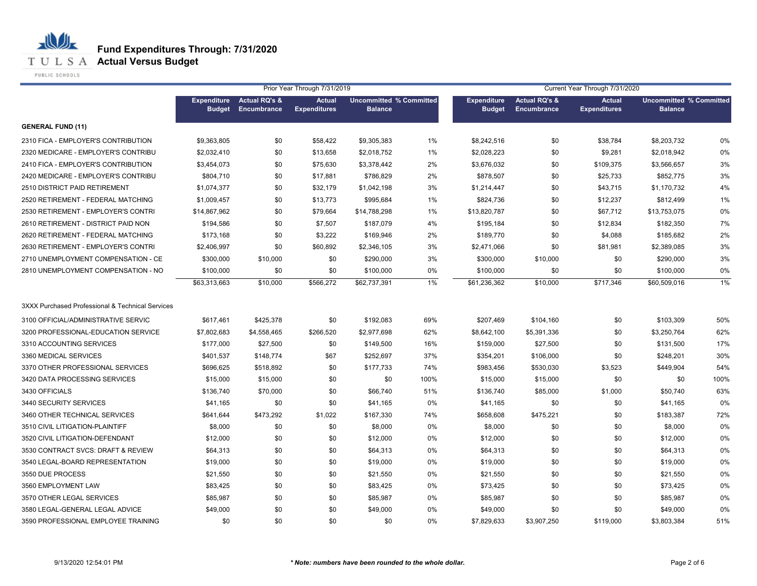**T U L S A Actual Versus Budget** 

PUBLIC SCHOOLS

|                                                  |                                     |                              | Prior Year Through 7/31/2019         |                                                  |       | Current Year Through 7/31/2020      |                                                |                                      |                                                  |      |
|--------------------------------------------------|-------------------------------------|------------------------------|--------------------------------------|--------------------------------------------------|-------|-------------------------------------|------------------------------------------------|--------------------------------------|--------------------------------------------------|------|
|                                                  | <b>Expenditure</b><br><b>Budget</b> | Actual RQ's &<br>Encumbrance | <b>Actual</b><br><b>Expenditures</b> | <b>Uncommitted % Committed</b><br><b>Balance</b> |       | <b>Expenditure</b><br><b>Budget</b> | <b>Actual RQ's &amp;</b><br><b>Encumbrance</b> | <b>Actual</b><br><b>Expenditures</b> | <b>Uncommitted % Committed</b><br><b>Balance</b> |      |
| <b>GENERAL FUND (11)</b>                         |                                     |                              |                                      |                                                  |       |                                     |                                                |                                      |                                                  |      |
| 2310 FICA - EMPLOYER'S CONTRIBUTION              | \$9,363,805                         | \$0                          | \$58,422                             | \$9,305,383                                      | 1%    | \$8,242,516                         | \$0                                            | \$38,784                             | \$8,203,732                                      | 0%   |
| 2320 MEDICARE - EMPLOYER'S CONTRIBU              | \$2,032,410                         | \$0                          | \$13,658                             | \$2,018,752                                      | 1%    | \$2,028,223                         | \$0                                            | \$9,281                              | \$2,018,942                                      | 0%   |
| 2410 FICA - EMPLOYER'S CONTRIBUTION              | \$3,454,073                         | \$0                          | \$75,630                             | \$3,378,442                                      | 2%    | \$3,676,032                         | \$0                                            | \$109,375                            | \$3,566,657                                      | 3%   |
| 2420 MEDICARE - EMPLOYER'S CONTRIBU              | \$804,710                           | \$0                          | \$17,881                             | \$786,829                                        | 2%    | \$878,507                           | \$0                                            | \$25,733                             | \$852,775                                        | 3%   |
| 2510 DISTRICT PAID RETIREMENT                    | \$1,074,377                         | \$0                          | \$32,179                             | \$1,042,198                                      | 3%    | \$1,214,447                         | \$0                                            | \$43,715                             | \$1,170,732                                      | 4%   |
| 2520 RETIREMENT - FEDERAL MATCHING               | \$1,009,457                         | \$0                          | \$13,773                             | \$995,684                                        | 1%    | \$824,736                           | \$0                                            | \$12,237                             | \$812,499                                        | 1%   |
| 2530 RETIREMENT - EMPLOYER'S CONTRI              | \$14,867,962                        | \$0                          | \$79,664                             | \$14,788,298                                     | 1%    | \$13,820,787                        | \$0                                            | \$67,712                             | \$13,753,075                                     | 0%   |
| 2610 RETIREMENT - DISTRICT PAID NON              | \$194,586                           | \$0                          | \$7,507                              | \$187,079                                        | 4%    | \$195,184                           | \$0                                            | \$12,834                             | \$182,350                                        | 7%   |
| 2620 RETIREMENT - FEDERAL MATCHING               | \$173,168                           | \$0                          | \$3,222                              | \$169,946                                        | 2%    | \$189,770                           | \$0                                            | \$4,088                              | \$185,682                                        | 2%   |
| 2630 RETIREMENT - EMPLOYER'S CONTRI              | \$2,406,997                         | \$0                          | \$60,892                             | \$2,346,105                                      | 3%    | \$2,471,066                         | \$0                                            | \$81,981                             | \$2,389,085                                      | 3%   |
| 2710 UNEMPLOYMENT COMPENSATION - CE              | \$300,000                           | \$10,000                     | \$0                                  | \$290,000                                        | 3%    | \$300,000                           | \$10,000                                       | \$0                                  | \$290,000                                        | 3%   |
| 2810 UNEMPLOYMENT COMPENSATION - NO              | \$100,000                           | \$0                          | \$0                                  | \$100,000                                        | 0%    | \$100,000                           | \$0                                            | \$0                                  | \$100,000                                        | 0%   |
|                                                  | \$63,313,663                        | \$10,000                     | \$566,272                            | \$62,737,391                                     | $1\%$ | \$61,236,362                        | \$10,000                                       | \$717,346                            | \$60,509,016                                     | 1%   |
| 3XXX Purchased Professional & Technical Services |                                     |                              |                                      |                                                  |       |                                     |                                                |                                      |                                                  |      |
| 3100 OFFICIAL/ADMINISTRATIVE SERVIC              | \$617,461                           | \$425,378                    | \$0                                  | \$192,083                                        | 69%   | \$207,469                           | \$104,160                                      | \$0                                  | \$103,309                                        | 50%  |
| 3200 PROFESSIONAL-EDUCATION SERVICE              | \$7,802,683                         | \$4,558,465                  | \$266,520                            | \$2,977,698                                      | 62%   | \$8,642,100                         | \$5,391,336                                    | \$0                                  | \$3,250,764                                      | 62%  |
| 3310 ACCOUNTING SERVICES                         | \$177,000                           | \$27,500                     | \$0                                  | \$149,500                                        | 16%   | \$159,000                           | \$27,500                                       | \$0                                  | \$131,500                                        | 17%  |
| 3360 MEDICAL SERVICES                            | \$401,537                           | \$148,774                    | \$67                                 | \$252,697                                        | 37%   | \$354,201                           | \$106,000                                      | \$0                                  | \$248,201                                        | 30%  |
| 3370 OTHER PROFESSIONAL SERVICES                 | \$696,625                           | \$518,892                    | \$0                                  | \$177,733                                        | 74%   | \$983,456                           | \$530,030                                      | \$3,523                              | \$449,904                                        | 54%  |
| 3420 DATA PROCESSING SERVICES                    | \$15,000                            | \$15,000                     | \$0                                  | \$0                                              | 100%  | \$15,000                            | \$15,000                                       | \$0                                  | \$0                                              | 100% |
| 3430 OFFICIALS                                   | \$136,740                           | \$70,000                     | \$0                                  | \$66,740                                         | 51%   | \$136,740                           | \$85,000                                       | \$1,000                              | \$50,740                                         | 63%  |
| 3440 SECURITY SERVICES                           | \$41,165                            | \$0                          | \$0                                  | \$41,165                                         | 0%    | \$41,165                            | \$0                                            | \$0                                  | \$41,165                                         | 0%   |
| 3460 OTHER TECHNICAL SERVICES                    | \$641,644                           | \$473,292                    | \$1,022                              | \$167,330                                        | 74%   | \$658,608                           | \$475,221                                      | \$0                                  | \$183,387                                        | 72%  |
| 3510 CIVIL LITIGATION-PLAINTIFF                  | \$8,000                             | \$0                          | \$0                                  | \$8,000                                          | 0%    | \$8,000                             | \$0                                            | \$0                                  | \$8,000                                          | 0%   |
| 3520 CIVIL LITIGATION-DEFENDANT                  | \$12,000                            | \$0                          | \$0                                  | \$12,000                                         | 0%    | \$12,000                            | \$0                                            | \$0                                  | \$12,000                                         | 0%   |
| 3530 CONTRACT SVCS: DRAFT & REVIEW               | \$64,313                            | \$0                          | \$0                                  | \$64,313                                         | 0%    | \$64,313                            | \$0                                            | \$0                                  | \$64,313                                         | 0%   |
| 3540 LEGAL-BOARD REPRESENTATION                  | \$19,000                            | \$0                          | \$0                                  | \$19,000                                         | 0%    | \$19,000                            | \$0                                            | \$0                                  | \$19,000                                         | 0%   |
| 3550 DUE PROCESS                                 | \$21,550                            | \$0                          | \$0                                  | \$21,550                                         | 0%    | \$21,550                            | \$0                                            | \$0                                  | \$21,550                                         | 0%   |
| 3560 EMPLOYMENT LAW                              | \$83,425                            | \$0                          | \$0                                  | \$83,425                                         | 0%    | \$73,425                            | \$0                                            | \$0                                  | \$73,425                                         | 0%   |
| 3570 OTHER LEGAL SERVICES                        | \$85,987                            | \$0                          | \$0                                  | \$85,987                                         | 0%    | \$85,987                            | \$0                                            | \$0                                  | \$85,987                                         | 0%   |
| 3580 LEGAL-GENERAL LEGAL ADVICE                  | \$49,000                            | \$0                          | \$0                                  | \$49,000                                         | 0%    | \$49,000                            | \$0                                            | \$0                                  | \$49,000                                         | 0%   |
| 3590 PROFESSIONAL EMPLOYEE TRAINING              | \$0                                 | \$0                          | \$0                                  | \$0                                              | 0%    | \$7,829,633                         | \$3,907,250                                    | \$119,000                            | \$3,803,384                                      | 51%  |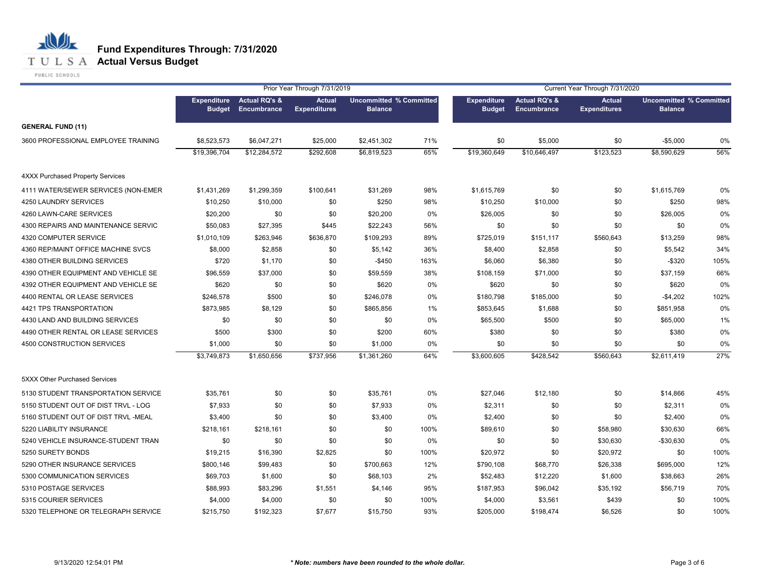#### **T U L S A Actual Versus Budget**

PUBLIC SCHOOLS

|                                         |                                     |                                                | Prior Year Through 7/31/2019         |                                                  |      |                                     |                                         | Current Year Through 7/31/2020       |                                                  |      |
|-----------------------------------------|-------------------------------------|------------------------------------------------|--------------------------------------|--------------------------------------------------|------|-------------------------------------|-----------------------------------------|--------------------------------------|--------------------------------------------------|------|
|                                         | <b>Expenditure</b><br><b>Budget</b> | <b>Actual RQ's &amp;</b><br><b>Encumbrance</b> | <b>Actual</b><br><b>Expenditures</b> | <b>Uncommitted % Committed</b><br><b>Balance</b> |      | <b>Expenditure</b><br><b>Budget</b> | <b>Actual RQ's &amp;</b><br>Encumbrance | <b>Actual</b><br><b>Expenditures</b> | <b>Uncommitted % Committed</b><br><b>Balance</b> |      |
| <b>GENERAL FUND (11)</b>                |                                     |                                                |                                      |                                                  |      |                                     |                                         |                                      |                                                  |      |
| 3600 PROFESSIONAL EMPLOYEE TRAINING     | \$8,523,573                         | \$6,047,271                                    | \$25,000                             | \$2,451,302                                      | 71%  | \$0                                 | \$5,000                                 | \$0                                  | $-$5,000$                                        | 0%   |
|                                         | \$19,396,704                        | \$12,284,572                                   | \$292,608                            | \$6,819,523                                      | 65%  | \$19,360,649                        | \$10,646,497                            | \$123,523                            | \$8,590,629                                      | 56%  |
| <b>4XXX Purchased Property Services</b> |                                     |                                                |                                      |                                                  |      |                                     |                                         |                                      |                                                  |      |
| 4111 WATER/SEWER SERVICES (NON-EMER     | \$1,431,269                         | \$1,299,359                                    | \$100,641                            | \$31,269                                         | 98%  | \$1,615,769                         | \$0                                     | \$0                                  | \$1,615,769                                      | 0%   |
| 4250 LAUNDRY SERVICES                   | \$10,250                            | \$10,000                                       | \$0                                  | \$250                                            | 98%  | \$10,250                            | \$10,000                                | \$0                                  | \$250                                            | 98%  |
| 4260 LAWN-CARE SERVICES                 | \$20,200                            | \$0                                            | \$0                                  | \$20,200                                         | 0%   | \$26,005                            | \$0                                     | \$0                                  | \$26,005                                         | 0%   |
| 4300 REPAIRS AND MAINTENANCE SERVIC     | \$50,083                            | \$27,395                                       | \$445                                | \$22,243                                         | 56%  | \$0                                 | \$0                                     | \$0                                  | \$0                                              | 0%   |
| 4320 COMPUTER SERVICE                   | \$1,010,109                         | \$263,946                                      | \$636,870                            | \$109,293                                        | 89%  | \$725,019                           | \$151,117                               | \$560,643                            | \$13,259                                         | 98%  |
| 4360 REP/MAINT OFFICE MACHINE SVCS      | \$8,000                             | \$2,858                                        | \$0                                  | \$5,142                                          | 36%  | \$8,400                             | \$2,858                                 | \$0                                  | \$5,542                                          | 34%  |
| 4380 OTHER BUILDING SERVICES            | \$720                               | \$1,170                                        | \$0                                  | $-$450$                                          | 163% | \$6,060                             | \$6,380                                 | \$0                                  | $-$320$                                          | 105% |
| 4390 OTHER EQUIPMENT AND VEHICLE SE     | \$96,559                            | \$37,000                                       | \$0                                  | \$59,559                                         | 38%  | \$108,159                           | \$71,000                                | \$0                                  | \$37,159                                         | 66%  |
| 4392 OTHER EQUIPMENT AND VEHICLE SE     | \$620                               | \$0                                            | \$0                                  | \$620                                            | 0%   | \$620                               | \$0                                     | \$0                                  | \$620                                            | 0%   |
| 4400 RENTAL OR LEASE SERVICES           | \$246,578                           | \$500                                          | \$0                                  | \$246,078                                        | 0%   | \$180,798                           | \$185,000                               | \$0                                  | $-$4,202$                                        | 102% |
| 4421 TPS TRANSPORTATION                 | \$873,985                           | \$8,129                                        | \$0                                  | \$865,856                                        | 1%   | \$853,645                           | \$1,688                                 | \$0                                  | \$851,958                                        | 0%   |
| 4430 LAND AND BUILDING SERVICES         | \$0                                 | \$0                                            | \$0                                  | \$0                                              | 0%   | \$65,500                            | \$500                                   | \$0                                  | \$65,000                                         | 1%   |
| 4490 OTHER RENTAL OR LEASE SERVICES     | \$500                               | \$300                                          | \$0                                  | \$200                                            | 60%  | \$380                               | \$0                                     | \$0                                  | \$380                                            | 0%   |
| 4500 CONSTRUCTION SERVICES              | \$1,000                             | \$0                                            | \$0                                  | \$1,000                                          | 0%   | \$0                                 | \$0                                     | \$0                                  | \$0                                              | 0%   |
|                                         | \$3,749,873                         | \$1,650,656                                    | \$737,956                            | \$1,361,260                                      | 64%  | \$3,600,605                         | \$428,542                               | \$560,643                            | \$2,611,419                                      | 27%  |
| 5XXX Other Purchased Services           |                                     |                                                |                                      |                                                  |      |                                     |                                         |                                      |                                                  |      |
| 5130 STUDENT TRANSPORTATION SERVICE     | \$35.761                            | \$0                                            | \$0                                  | \$35,761                                         | 0%   | \$27,046                            | \$12,180                                | \$0                                  | \$14,866                                         | 45%  |
| 5150 STUDENT OUT OF DIST TRVL - LOG     | \$7,933                             | \$0                                            | \$0                                  | \$7,933                                          | 0%   | \$2,311                             | \$0                                     | \$0                                  | \$2,311                                          | 0%   |
| 5160 STUDENT OUT OF DIST TRVL -MEAL     | \$3,400                             | \$0                                            | \$0                                  | \$3,400                                          | 0%   | \$2,400                             | \$0                                     | \$0                                  | \$2,400                                          | 0%   |
| 5220 LIABILITY INSURANCE                | \$218,161                           | \$218,161                                      | \$0                                  | \$0                                              | 100% | \$89,610                            | \$0                                     | \$58,980                             | \$30,630                                         | 66%  |
| 5240 VEHICLE INSURANCE-STUDENT TRAN     | \$0                                 | \$0                                            | \$0                                  | \$0                                              | 0%   | \$0                                 | \$0                                     | \$30,630                             | $-$30,630$                                       | 0%   |
| 5250 SURETY BONDS                       | \$19,215                            | \$16,390                                       | \$2,825                              | \$0                                              | 100% | \$20,972                            | \$0                                     | \$20,972                             | \$0                                              | 100% |
| 5290 OTHER INSURANCE SERVICES           | \$800,146                           | \$99,483                                       | \$0                                  | \$700,663                                        | 12%  | \$790,108                           | \$68,770                                | \$26,338                             | \$695,000                                        | 12%  |
| 5300 COMMUNICATION SERVICES             | \$69,703                            | \$1,600                                        | \$0                                  | \$68,103                                         | 2%   | \$52,483                            | \$12,220                                | \$1,600                              | \$38,663                                         | 26%  |
| 5310 POSTAGE SERVICES                   | \$88,993                            | \$83,296                                       | \$1,551                              | \$4,146                                          | 95%  | \$187,953                           | \$96,042                                | \$35,192                             | \$56,719                                         | 70%  |
| 5315 COURIER SERVICES                   | \$4,000                             | \$4,000                                        | \$0                                  | \$0                                              | 100% | \$4,000                             | \$3,561                                 | \$439                                | \$0                                              | 100% |
| 5320 TELEPHONE OR TELEGRAPH SERVICE     | \$215,750                           | \$192,323                                      | \$7,677                              | \$15,750                                         | 93%  | \$205,000                           | \$198,474                               | \$6,526                              | \$0                                              | 100% |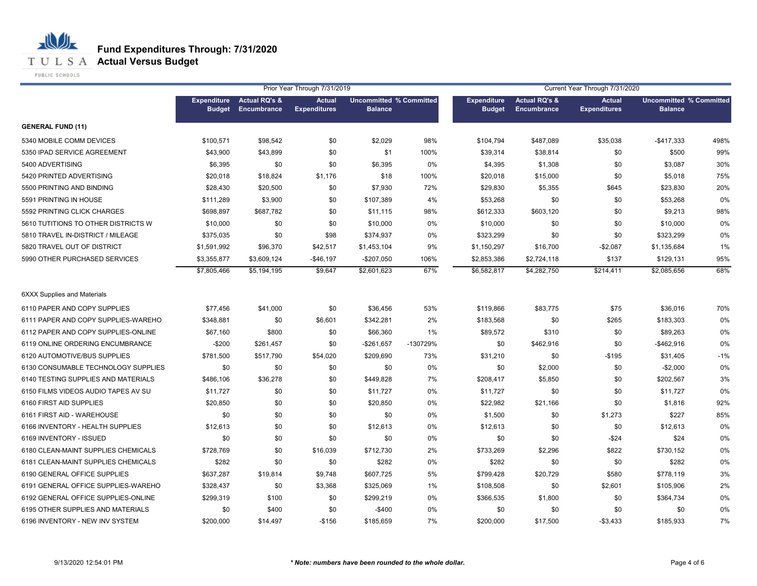

**T U L S A Actual Versus Budget** 

PUBLIC SCHOOLS

|                                     | Prior Year Through 7/31/2019 |                                                 |                                      |                                                  |          | Current Year Through 7/31/2020      |                                                |                                      |                                                  |       |  |
|-------------------------------------|------------------------------|-------------------------------------------------|--------------------------------------|--------------------------------------------------|----------|-------------------------------------|------------------------------------------------|--------------------------------------|--------------------------------------------------|-------|--|
|                                     | <b>Budget</b>                | <b>Expenditure</b> Actual RQ's &<br>Encumbrance | <b>Actual</b><br><b>Expenditures</b> | <b>Uncommitted % Committed</b><br><b>Balance</b> |          | <b>Expenditure</b><br><b>Budget</b> | <b>Actual RQ's &amp;</b><br><b>Encumbrance</b> | <b>Actual</b><br><b>Expenditures</b> | <b>Uncommitted % Committed</b><br><b>Balance</b> |       |  |
| <b>GENERAL FUND (11)</b>            |                              |                                                 |                                      |                                                  |          |                                     |                                                |                                      |                                                  |       |  |
| 5340 MOBILE COMM DEVICES            | \$100,571                    | \$98,542                                        | \$0                                  | \$2,029                                          | 98%      | \$104,794                           | \$487,089                                      | \$35,038                             | $-$417,333$                                      | 498%  |  |
| 5350 IPAD SERVICE AGREEMENT         | \$43,900                     | \$43,899                                        | \$0                                  | \$1                                              | 100%     | \$39,314                            | \$38,814                                       | \$0                                  | \$500                                            | 99%   |  |
| 5400 ADVERTISING                    | \$6,395                      | \$0                                             | \$0                                  | \$6,395                                          | 0%       | \$4,395                             | \$1,308                                        | \$0                                  | \$3,087                                          | 30%   |  |
| 5420 PRINTED ADVERTISING            | \$20,018                     | \$18,824                                        | \$1,176                              | \$18                                             | 100%     | \$20,018                            | \$15,000                                       | \$0                                  | \$5,018                                          | 75%   |  |
| 5500 PRINTING AND BINDING           | \$28,430                     | \$20,500                                        | \$0                                  | \$7,930                                          | 72%      | \$29,830                            | \$5,355                                        | \$645                                | \$23,830                                         | 20%   |  |
| 5591 PRINTING IN HOUSE              | \$111,289                    | \$3,900                                         | \$0                                  | \$107,389                                        | 4%       | \$53,268                            | \$0                                            | \$0                                  | \$53,268                                         | 0%    |  |
| 5592 PRINTING CLICK CHARGES         | \$698,897                    | \$687,782                                       | \$0                                  | \$11,115                                         | 98%      | \$612,333                           | \$603,120                                      | \$0                                  | \$9,213                                          | 98%   |  |
| 5610 TUTITIONS TO OTHER DISTRICTS W | \$10,000                     | \$0                                             | \$0                                  | \$10,000                                         | 0%       | \$10,000                            | \$0                                            | \$0                                  | \$10,000                                         | 0%    |  |
| 5810 TRAVEL IN-DISTRICT / MILEAGE   | \$375,035                    | \$0                                             | \$98                                 | \$374,937                                        | 0%       | \$323,299                           | \$0                                            | \$0                                  | \$323,299                                        | 0%    |  |
| 5820 TRAVEL OUT OF DISTRICT         | \$1,591,992                  | \$96,370                                        | \$42,517                             | \$1,453,104                                      | 9%       | \$1,150,297                         | \$16,700                                       | $-$2,087$                            | \$1,135,684                                      | 1%    |  |
| 5990 OTHER PURCHASED SERVICES       | \$3,355,877                  | \$3,609,124                                     | $-$46,197$                           | $-$207,050$                                      | 106%     | \$2,853,386                         | \$2,724,118                                    | \$137                                | \$129,131                                        | 95%   |  |
|                                     | \$7,805,466                  | \$5,194,195                                     | \$9.647                              | \$2,601,623                                      | 67%      | \$6,582,817                         | \$4,282,750                                    | \$214,411                            | \$2,085,656                                      | 68%   |  |
| <b>6XXX Supplies and Materials</b>  |                              |                                                 |                                      |                                                  |          |                                     |                                                |                                      |                                                  |       |  |
| 6110 PAPER AND COPY SUPPLIES        | \$77,456                     | \$41,000                                        | \$0                                  | \$36,456                                         | 53%      | \$119,866                           | \$83,775                                       | \$75                                 | \$36,016                                         | 70%   |  |
| 6111 PAPER AND COPY SUPPLIES-WAREHO | \$348,881                    | \$0                                             | \$6,601                              | \$342,281                                        | 2%       | \$183,568                           | \$0                                            | \$265                                | \$183,303                                        | 0%    |  |
| 6112 PAPER AND COPY SUPPLIES-ONLINE | \$67,160                     | \$800                                           | \$0                                  | \$66,360                                         | 1%       | \$89,572                            | \$310                                          | \$0                                  | \$89,263                                         | 0%    |  |
| 6119 ONLINE ORDERING ENCUMBRANCE    | $-$200$                      | \$261,457                                       | \$0                                  | $-$261,657$                                      | -130729% | \$0                                 | \$462,916                                      | \$0                                  | $-$462,916$                                      | 0%    |  |
| 6120 AUTOMOTIVE/BUS SUPPLIES        | \$781,500                    | \$517,790                                       | \$54,020                             | \$209,690                                        | 73%      | \$31,210                            | \$0                                            | $-$195$                              | \$31,405                                         | $-1%$ |  |
| 6130 CONSUMABLE TECHNOLOGY SUPPLIES | \$0                          | \$0                                             | \$0                                  | \$0                                              | 0%       | \$0                                 | \$2,000                                        | \$0                                  | $-$2,000$                                        | 0%    |  |
| 6140 TESTING SUPPLIES AND MATERIALS | \$486,106                    | \$36,278                                        | \$0                                  | \$449,828                                        | 7%       | \$208,417                           | \$5,850                                        | \$0                                  | \$202,567                                        | 3%    |  |
| 6150 FILMS VIDEOS AUDIO TAPES AV SU | \$11,727                     | \$0                                             | \$0                                  | \$11,727                                         | 0%       | \$11,727                            | \$0                                            | \$0                                  | \$11,727                                         | 0%    |  |
| 6160 FIRST AID SUPPLIES             | \$20,850                     | \$0                                             | \$0                                  | \$20,850                                         | 0%       | \$22,982                            | \$21,166                                       | \$0                                  | \$1,816                                          | 92%   |  |
| 6161 FIRST AID - WAREHOUSE          | \$0                          | \$0                                             | \$0                                  | \$0                                              | 0%       | \$1,500                             | \$0                                            | \$1,273                              | \$227                                            | 85%   |  |
| 6166 INVENTORY - HEALTH SUPPLIES    | \$12,613                     | \$0                                             | \$0                                  | \$12,613                                         | 0%       | \$12,613                            | \$0                                            | \$0                                  | \$12,613                                         | 0%    |  |
| 6169 INVENTORY - ISSUED             | \$0                          | \$0                                             | \$0                                  | \$0                                              | 0%       | \$0                                 | \$0                                            | $-$24$                               | \$24                                             | 0%    |  |
| 6180 CLEAN-MAINT SUPPLIES CHEMICALS | \$728,769                    | \$0                                             | \$16,039                             | \$712,730                                        | 2%       | \$733,269                           | \$2,296                                        | \$822                                | \$730,152                                        | 0%    |  |
| 6181 CLEAN-MAINT SUPPLIES CHEMICALS | \$282                        | \$0                                             | \$0                                  | \$282                                            | 0%       | \$282                               | \$0                                            | \$0                                  | \$282                                            | 0%    |  |
| 6190 GENERAL OFFICE SUPPLIES        | \$637,287                    | \$19,814                                        | \$9,748                              | \$607,725                                        | 5%       | \$799,428                           | \$20,729                                       | \$580                                | \$778,119                                        | 3%    |  |
| 6191 GENERAL OFFICE SUPPLIES-WAREHO | \$328,437                    | \$0                                             | \$3,368                              | \$325,069                                        | 1%       | \$108,508                           | \$0                                            | \$2,601                              | \$105,906                                        | 2%    |  |
| 6192 GENERAL OFFICE SUPPLIES-ONLINE | \$299,319                    | \$100                                           | \$0                                  | \$299,219                                        | 0%       | \$366,535                           | \$1,800                                        | \$0                                  | \$364,734                                        | 0%    |  |
| 6195 OTHER SUPPLIES AND MATERIALS   | \$0                          | \$400                                           | \$0                                  | $-$400$                                          | 0%       | \$0                                 | \$0                                            | \$0                                  | \$0                                              | 0%    |  |
| 6196 INVENTORY - NEW INV SYSTEM     | \$200,000                    | \$14,497                                        | $-$156$                              | \$185,659                                        | 7%       | \$200,000                           | \$17,500                                       | $-$3,433$                            | \$185,933                                        | 7%    |  |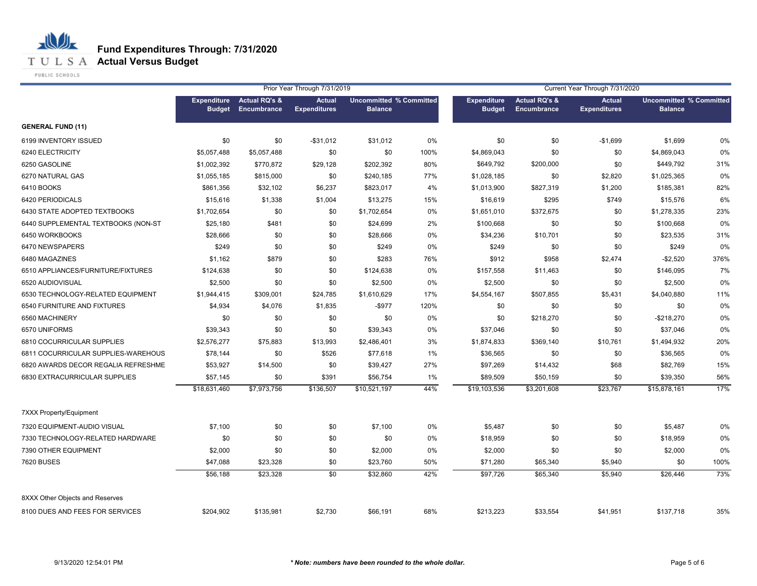**T U L S A Actual Versus Budget** 

PUBLIC SCHOOLS

|                                     | Prior Year Through 7/31/2019<br>Current Year Through 7/31/2020 |                                         |                                      |                                                  |      |                                     |                                                |                                      |                                                  |      |
|-------------------------------------|----------------------------------------------------------------|-----------------------------------------|--------------------------------------|--------------------------------------------------|------|-------------------------------------|------------------------------------------------|--------------------------------------|--------------------------------------------------|------|
|                                     | <b>Expenditure</b><br><b>Budget</b>                            | <b>Actual RQ's &amp;</b><br>Encumbrance | <b>Actual</b><br><b>Expenditures</b> | <b>Uncommitted % Committed</b><br><b>Balance</b> |      | <b>Expenditure</b><br><b>Budget</b> | <b>Actual RQ's &amp;</b><br><b>Encumbrance</b> | <b>Actual</b><br><b>Expenditures</b> | <b>Uncommitted % Committed</b><br><b>Balance</b> |      |
| <b>GENERAL FUND (11)</b>            |                                                                |                                         |                                      |                                                  |      |                                     |                                                |                                      |                                                  |      |
| 6199 INVENTORY ISSUED               | \$0                                                            | \$0                                     | $-$31,012$                           | \$31,012                                         | 0%   | \$0                                 | \$0                                            | $-$1,699$                            | \$1,699                                          | 0%   |
| 6240 ELECTRICITY                    | \$5,057,488                                                    | \$5,057,488                             | \$0                                  | \$0                                              | 100% | \$4,869,043                         | \$0                                            | \$0                                  | \$4,869,043                                      | 0%   |
| 6250 GASOLINE                       | \$1,002,392                                                    | \$770,872                               | \$29,128                             | \$202,392                                        | 80%  | \$649,792                           | \$200,000                                      | \$0                                  | \$449,792                                        | 31%  |
| 6270 NATURAL GAS                    | \$1,055,185                                                    | \$815,000                               | \$0                                  | \$240,185                                        | 77%  | \$1,028,185                         | \$0                                            | \$2,820                              | \$1,025,365                                      | 0%   |
| 6410 BOOKS                          | \$861,356                                                      | \$32,102                                | \$6,237                              | \$823,017                                        | 4%   | \$1,013,900                         | \$827,319                                      | \$1,200                              | \$185,381                                        | 82%  |
| 6420 PERIODICALS                    | \$15,616                                                       | \$1,338                                 | \$1,004                              | \$13,275                                         | 15%  | \$16,619                            | \$295                                          | \$749                                | \$15,576                                         | 6%   |
| 6430 STATE ADOPTED TEXTBOOKS        | \$1,702,654                                                    | \$0                                     | \$0                                  | \$1,702,654                                      | 0%   | \$1,651,010                         | \$372,675                                      | \$0                                  | \$1,278,335                                      | 23%  |
| 6440 SUPPLEMENTAL TEXTBOOKS (NON-ST | \$25,180                                                       | \$481                                   | \$0                                  | \$24,699                                         | 2%   | \$100,668                           | \$0                                            | \$0                                  | \$100,668                                        | 0%   |
| 6450 WORKBOOKS                      | \$28,666                                                       | \$0                                     | \$0                                  | \$28,666                                         | 0%   | \$34,236                            | \$10,701                                       | \$0                                  | \$23,535                                         | 31%  |
| 6470 NEWSPAPERS                     | \$249                                                          | \$0                                     | \$0                                  | \$249                                            | 0%   | \$249                               | \$0                                            | \$0                                  | \$249                                            | 0%   |
| 6480 MAGAZINES                      | \$1,162                                                        | \$879                                   | \$0                                  | \$283                                            | 76%  | \$912                               | \$958                                          | \$2,474                              | $-$2,520$                                        | 376% |
| 6510 APPLIANCES/FURNITURE/FIXTURES  | \$124,638                                                      | \$0                                     | \$0                                  | \$124,638                                        | 0%   | \$157,558                           | \$11,463                                       | \$0                                  | \$146,095                                        | 7%   |
| 6520 AUDIOVISUAL                    | \$2,500                                                        | \$0                                     | \$0                                  | \$2,500                                          | 0%   | \$2,500                             | \$0                                            | \$0                                  | \$2,500                                          | 0%   |
| 6530 TECHNOLOGY-RELATED EQUIPMENT   | \$1,944,415                                                    | \$309,001                               | \$24,785                             | \$1,610,629                                      | 17%  | \$4,554,167                         | \$507,855                                      | \$5,431                              | \$4,040,880                                      | 11%  |
| 6540 FURNITURE AND FIXTURES         | \$4,934                                                        | \$4,076                                 | \$1,835                              | $-$ \$977                                        | 120% | \$0                                 | \$0                                            | \$0                                  | \$0                                              | 0%   |
| 6560 MACHINERY                      | \$0                                                            | \$0                                     | \$0                                  | \$0                                              | 0%   | \$0                                 | \$218,270                                      | \$0                                  | $-$218,270$                                      | 0%   |
| 6570 UNIFORMS                       | \$39,343                                                       | \$0                                     | \$0                                  | \$39,343                                         | 0%   | \$37,046                            | \$0                                            | \$0                                  | \$37,046                                         | 0%   |
| 6810 COCURRICULAR SUPPLIES          | \$2,576,277                                                    | \$75,883                                | \$13,993                             | \$2,486,401                                      | 3%   | \$1,874,833                         | \$369,140                                      | \$10,761                             | \$1,494,932                                      | 20%  |
| 6811 COCURRICULAR SUPPLIES-WAREHOUS | \$78,144                                                       | \$0                                     | \$526                                | \$77,618                                         | 1%   | \$36,565                            | \$0                                            | \$0                                  | \$36,565                                         | 0%   |
| 6820 AWARDS DECOR REGALIA REFRESHME | \$53,927                                                       | \$14,500                                | \$0                                  | \$39,427                                         | 27%  | \$97,269                            | \$14,432                                       | \$68                                 | \$82,769                                         | 15%  |
| 6830 EXTRACURRICULAR SUPPLIES       | \$57,145                                                       | \$0                                     | \$391                                | \$56,754                                         | 1%   | \$89,509                            | \$50,159                                       | \$0                                  | \$39,350                                         | 56%  |
|                                     | \$18,631,460                                                   | \$7,973,756                             | \$136,507                            | \$10,521,197                                     | 44%  | \$19,103,536                        | \$3,201,608                                    | \$23,767                             | \$15,878,161                                     | 17%  |
| <b>7XXX Property/Equipment</b>      |                                                                |                                         |                                      |                                                  |      |                                     |                                                |                                      |                                                  |      |
| 7320 EQUIPMENT-AUDIO VISUAL         | \$7,100                                                        | \$0                                     | \$0                                  | \$7,100                                          | 0%   | \$5,487                             | \$0                                            | \$0                                  | \$5,487                                          | 0%   |
| 7330 TECHNOLOGY-RELATED HARDWARE    | \$0                                                            | \$0                                     | \$0                                  | \$0                                              | 0%   | \$18,959                            | \$0                                            | \$0                                  | \$18,959                                         | 0%   |
| 7390 OTHER EQUIPMENT                | \$2,000                                                        | \$0                                     | \$0                                  | \$2,000                                          | 0%   | \$2,000                             | \$0                                            | \$0                                  | \$2,000                                          | 0%   |
| <b>7620 BUSES</b>                   | \$47,088                                                       | \$23,328                                | \$0                                  | \$23,760                                         | 50%  | \$71,280                            | \$65,340                                       | \$5,940                              | \$0                                              | 100% |
|                                     | \$56,188                                                       | \$23,328                                | $\overline{50}$                      | \$32,860                                         | 42%  | \$97,726                            | \$65,340                                       | \$5,940                              | \$26,446                                         | 73%  |
| 8XXX Other Objects and Reserves     |                                                                |                                         |                                      |                                                  |      |                                     |                                                |                                      |                                                  |      |
| 8100 DUES AND FEES FOR SERVICES     | \$204,902                                                      | \$135,981                               | \$2,730                              | \$66,191                                         | 68%  | \$213,223                           | \$33,554                                       | \$41,951                             | \$137,718                                        | 35%  |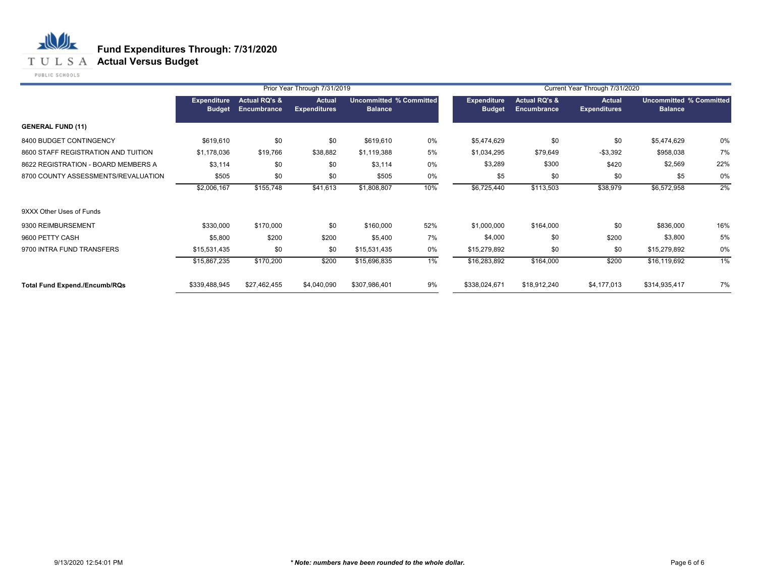**T U L S A Actual Versus Budget** 

PUBLIC SCHOOLS

|                                      |                                     |                                         | Prior Year Through 7/31/2019         |                                                  |     | Current Year Through 7/31/2020 |                                                |                                      |                                                  |       |  |
|--------------------------------------|-------------------------------------|-----------------------------------------|--------------------------------------|--------------------------------------------------|-----|--------------------------------|------------------------------------------------|--------------------------------------|--------------------------------------------------|-------|--|
|                                      | <b>Expenditure</b><br><b>Budget</b> | <b>Actual RQ's &amp;</b><br>Encumbrance | <b>Actual</b><br><b>Expenditures</b> | <b>Uncommitted % Committed</b><br><b>Balance</b> |     | Expenditure<br><b>Budget</b>   | <b>Actual RQ's &amp;</b><br><b>Encumbrance</b> | <b>Actual</b><br><b>Expenditures</b> | <b>Uncommitted % Committed</b><br><b>Balance</b> |       |  |
| <b>GENERAL FUND (11)</b>             |                                     |                                         |                                      |                                                  |     |                                |                                                |                                      |                                                  |       |  |
| 8400 BUDGET CONTINGENCY              | \$619,610                           | \$0                                     | \$0                                  | \$619,610                                        | 0%  | \$5,474,629                    | \$0                                            | \$0                                  | \$5,474,629                                      | 0%    |  |
| 8600 STAFF REGISTRATION AND TUITION  | \$1,178,036                         | \$19,766                                | \$38,882                             | \$1,119,388                                      | 5%  | \$1,034,295                    | \$79,649                                       | $-$3,392$                            | \$958,038                                        | 7%    |  |
| 8622 REGISTRATION - BOARD MEMBERS A  | \$3,114                             | \$0                                     | \$0                                  | \$3,114                                          | 0%  | \$3,289                        | \$300                                          | \$420                                | \$2,569                                          | 22%   |  |
| 8700 COUNTY ASSESSMENTS/REVALUATION  | \$505                               | \$0                                     | \$0                                  | \$505                                            | 0%  | \$5                            | \$0                                            | \$0                                  | \$5                                              | 0%    |  |
|                                      | \$2,006,167                         | \$155,748                               | \$41,613                             | \$1,808,807                                      | 10% | \$6,725,440                    | \$113,503                                      | \$38,979                             | \$6,572,958                                      | 2%    |  |
| 9XXX Other Uses of Funds             |                                     |                                         |                                      |                                                  |     |                                |                                                |                                      |                                                  |       |  |
| 9300 REIMBURSEMENT                   | \$330,000                           | \$170,000                               | \$0                                  | \$160,000                                        | 52% | \$1,000,000                    | \$164,000                                      | \$0                                  | \$836,000                                        | 16%   |  |
| 9600 PETTY CASH                      | \$5,800                             | \$200                                   | \$200                                | \$5,400                                          | 7%  | \$4,000                        | \$0                                            | \$200                                | \$3,800                                          | 5%    |  |
| 9700 INTRA FUND TRANSFERS            | \$15,531,435                        | \$0                                     | \$0                                  | \$15,531,435                                     | 0%  | \$15,279,892                   | \$0                                            | \$0                                  | \$15,279,892                                     | 0%    |  |
|                                      | \$15,867,235                        | \$170,200                               | \$200                                | \$15,696,835                                     | 1%  | \$16,283,892                   | \$164,000                                      | \$200                                | \$16,119,692                                     | $1\%$ |  |
| <b>Total Fund Expend./Encumb/RQs</b> | \$339,488,945                       | \$27,462,455                            | \$4,040,090                          | \$307,986,401                                    | 9%  | \$338,024,671                  | \$18,912,240                                   | \$4,177,013                          | \$314,935,417                                    | 7%    |  |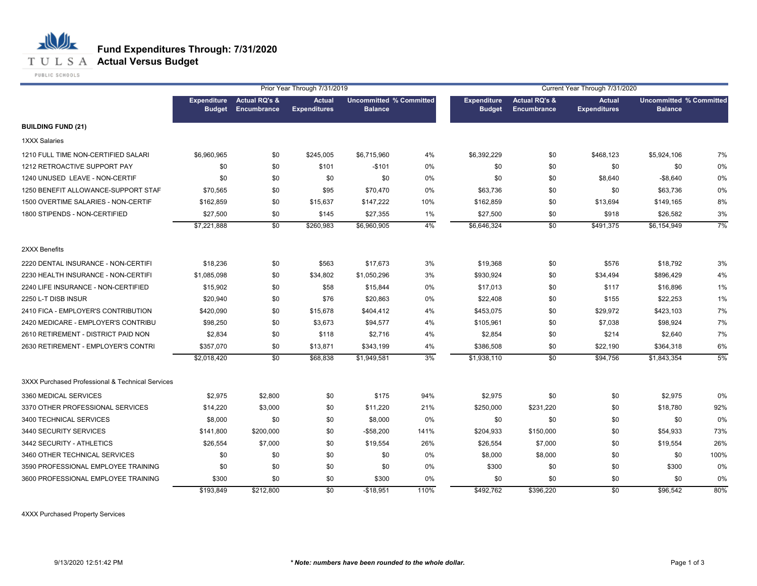

PUBLIC SCHOOLS

|                                                  |                    |                                                       | Prior Year Through 7/31/2019         |                                                  |      | Current Year Through 7/31/2020      |                                         |                                      |                                                  |      |  |
|--------------------------------------------------|--------------------|-------------------------------------------------------|--------------------------------------|--------------------------------------------------|------|-------------------------------------|-----------------------------------------|--------------------------------------|--------------------------------------------------|------|--|
|                                                  | <b>Expenditure</b> | <b>Actual RQ's &amp;</b><br><b>Budget Encumbrance</b> | <b>Actual</b><br><b>Expenditures</b> | <b>Uncommitted % Committed</b><br><b>Balance</b> |      | <b>Expenditure</b><br><b>Budget</b> | <b>Actual RQ's &amp;</b><br>Encumbrance | <b>Actual</b><br><b>Expenditures</b> | <b>Uncommitted % Committed</b><br><b>Balance</b> |      |  |
| <b>BUILDING FUND (21)</b>                        |                    |                                                       |                                      |                                                  |      |                                     |                                         |                                      |                                                  |      |  |
| <b>1XXX Salaries</b>                             |                    |                                                       |                                      |                                                  |      |                                     |                                         |                                      |                                                  |      |  |
| 1210 FULL TIME NON-CERTIFIED SALARI              | \$6,960,965        | \$0                                                   | \$245,005                            | \$6,715,960                                      | 4%   | \$6,392,229                         | \$0                                     | \$468,123                            | \$5,924,106                                      | 7%   |  |
| 1212 RETROACTIVE SUPPORT PAY                     | \$0                | \$0                                                   | \$101                                | $-$101$                                          | 0%   | \$0                                 | \$0                                     | \$0                                  | \$0                                              | 0%   |  |
| 1240 UNUSED LEAVE - NON-CERTIF                   | \$0                | \$0                                                   | \$0                                  | \$0                                              | 0%   | \$0                                 | \$0                                     | \$8,640                              | $-$8,640$                                        | 0%   |  |
| 1250 BENEFIT ALLOWANCE-SUPPORT STAF              | \$70,565           | \$0                                                   | \$95                                 | \$70,470                                         | 0%   | \$63,736                            | \$0                                     | \$0                                  | \$63,736                                         | 0%   |  |
| 1500 OVERTIME SALARIES - NON-CERTIF              | \$162,859          | \$0                                                   | \$15,637                             | \$147,222                                        | 10%  | \$162,859                           | \$0                                     | \$13,694                             | \$149,165                                        | 8%   |  |
| 1800 STIPENDS - NON-CERTIFIED                    | \$27,500           | \$0                                                   | \$145                                | \$27,355                                         | 1%   | \$27,500                            | \$0                                     | \$918                                | \$26,582                                         | 3%   |  |
|                                                  | \$7,221,888        | \$0                                                   | \$260,983                            | \$6,960,905                                      | 4%   | \$6,646,324                         | \$0                                     | \$491,375                            | \$6,154,949                                      | 7%   |  |
| 2XXX Benefits                                    |                    |                                                       |                                      |                                                  |      |                                     |                                         |                                      |                                                  |      |  |
| 2220 DENTAL INSURANCE - NON-CERTIFI              | \$18,236           | \$0                                                   | \$563                                | \$17,673                                         | 3%   | \$19,368                            | \$0                                     | \$576                                | \$18,792                                         | 3%   |  |
| 2230 HEALTH INSURANCE - NON-CERTIFI              | \$1,085,098        | \$0                                                   | \$34,802                             | \$1,050,296                                      | 3%   | \$930,924                           | \$0                                     | \$34,494                             | \$896,429                                        | 4%   |  |
| 2240 LIFE INSURANCE - NON-CERTIFIED              | \$15,902           | \$0                                                   | \$58                                 | \$15,844                                         | 0%   | \$17,013                            | \$0                                     | \$117                                | \$16,896                                         | 1%   |  |
| 2250 L-T DISB INSUR                              | \$20,940           | \$0                                                   | \$76                                 | \$20,863                                         | 0%   | \$22,408                            | \$0                                     | \$155                                | \$22,253                                         | 1%   |  |
| 2410 FICA - EMPLOYER'S CONTRIBUTION              | \$420,090          | \$0                                                   | \$15,678                             | \$404,412                                        | 4%   | \$453,075                           | \$0                                     | \$29,972                             | \$423,103                                        | 7%   |  |
| 2420 MEDICARE - EMPLOYER'S CONTRIBU              | \$98,250           | \$0                                                   | \$3,673                              | \$94,577                                         | 4%   | \$105,961                           | \$0                                     | \$7,038                              | \$98,924                                         | 7%   |  |
| 2610 RETIREMENT - DISTRICT PAID NON              | \$2,834            | \$0                                                   | \$118                                | \$2,716                                          | 4%   | \$2,854                             | \$0                                     | \$214                                | \$2,640                                          | 7%   |  |
| 2630 RETIREMENT - EMPLOYER'S CONTRI              | \$357,070          | \$0                                                   | \$13,871                             | \$343,199                                        | 4%   | \$386,508                           | \$0                                     | \$22,190                             | \$364,318                                        | 6%   |  |
|                                                  | \$2,018,420        | \$0                                                   | \$68,838                             | \$1,949,581                                      | 3%   | \$1,938,110                         | \$0                                     | \$94,756                             | \$1,843,354                                      | 5%   |  |
| 3XXX Purchased Professional & Technical Services |                    |                                                       |                                      |                                                  |      |                                     |                                         |                                      |                                                  |      |  |
| 3360 MEDICAL SERVICES                            | \$2,975            | \$2,800                                               | \$0                                  | \$175                                            | 94%  | \$2,975                             | \$0                                     | \$0                                  | \$2,975                                          | 0%   |  |
| 3370 OTHER PROFESSIONAL SERVICES                 | \$14,220           | \$3,000                                               | \$0                                  | \$11,220                                         | 21%  | \$250,000                           | \$231,220                               | \$0                                  | \$18,780                                         | 92%  |  |
| 3400 TECHNICAL SERVICES                          | \$8,000            | \$0                                                   | \$0                                  | \$8,000                                          | 0%   | \$0                                 | \$0                                     | \$0                                  | \$0                                              | 0%   |  |
| 3440 SECURITY SERVICES                           | \$141,800          | \$200,000                                             | \$0                                  | $-$58,200$                                       | 141% | \$204,933                           | \$150,000                               | \$0                                  | \$54,933                                         | 73%  |  |
| 3442 SECURITY - ATHLETICS                        | \$26,554           | \$7,000                                               | \$0                                  | \$19,554                                         | 26%  | \$26,554                            | \$7,000                                 | \$0                                  | \$19,554                                         | 26%  |  |
| 3460 OTHER TECHNICAL SERVICES                    | \$0                | \$0                                                   | \$0                                  | \$0                                              | 0%   | \$8,000                             | \$8,000                                 | \$0                                  | \$0                                              | 100% |  |
| 3590 PROFESSIONAL EMPLOYEE TRAINING              | \$0                | \$0                                                   | \$0                                  | \$0                                              | 0%   | \$300                               | \$0                                     | \$0                                  | \$300                                            | 0%   |  |
| 3600 PROFESSIONAL EMPLOYEE TRAINING              | \$300              | \$0                                                   | \$0                                  | \$300                                            | 0%   | \$0                                 | \$0                                     | \$0                                  | \$0                                              | 0%   |  |
|                                                  | \$193,849          | \$212,800                                             | \$0                                  | $-$18,951$                                       | 110% | \$492,762                           | \$396,220                               | \$0                                  | \$96,542                                         | 80%  |  |

4XXX Purchased Property Services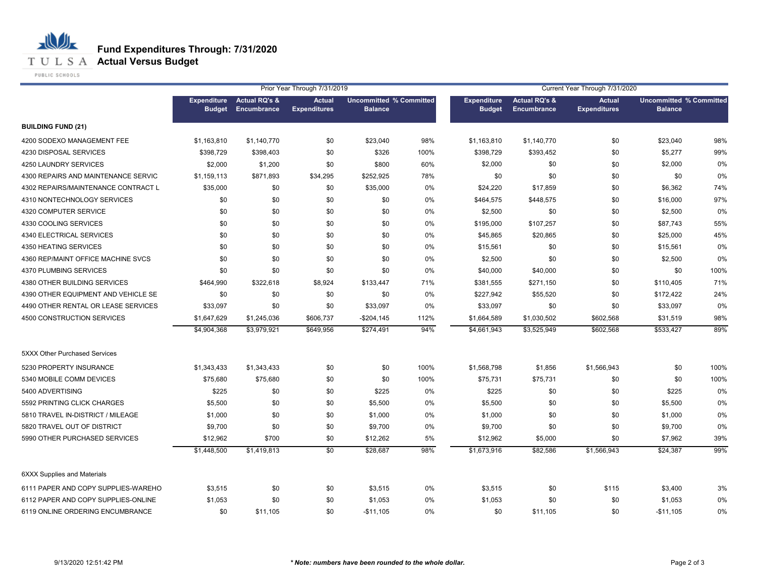**T U L S A Actual Versus Budget** 

PUBLIC SCHOOLS

|                                     | Prior Year Through 7/31/2019        |                                         |                                      |                                                  |      |                                     |                                         | Current Year Through 7/31/2020       |                                                  |      |
|-------------------------------------|-------------------------------------|-----------------------------------------|--------------------------------------|--------------------------------------------------|------|-------------------------------------|-----------------------------------------|--------------------------------------|--------------------------------------------------|------|
|                                     | <b>Expenditure</b><br><b>Budget</b> | <b>Actual RQ's &amp;</b><br>Encumbrance | <b>Actual</b><br><b>Expenditures</b> | <b>Uncommitted % Committed</b><br><b>Balance</b> |      | <b>Expenditure</b><br><b>Budget</b> | <b>Actual RQ's &amp;</b><br>Encumbrance | <b>Actual</b><br><b>Expenditures</b> | <b>Uncommitted % Committed</b><br><b>Balance</b> |      |
| <b>BUILDING FUND (21)</b>           |                                     |                                         |                                      |                                                  |      |                                     |                                         |                                      |                                                  |      |
| 4200 SODEXO MANAGEMENT FEE          | \$1,163,810                         | \$1,140,770                             | \$0                                  | \$23,040                                         | 98%  | \$1,163,810                         | \$1,140,770                             | \$0                                  | \$23,040                                         | 98%  |
| 4230 DISPOSAL SERVICES              | \$398,729                           | \$398,403                               | \$0                                  | \$326                                            | 100% | \$398,729                           | \$393,452                               | \$0                                  | \$5,277                                          | 99%  |
| 4250 LAUNDRY SERVICES               | \$2,000                             | \$1,200                                 | \$0                                  | \$800                                            | 60%  | \$2,000                             | \$0                                     | \$0                                  | \$2,000                                          | 0%   |
| 4300 REPAIRS AND MAINTENANCE SERVIC | \$1,159,113                         | \$871,893                               | \$34,295                             | \$252,925                                        | 78%  | \$0                                 | \$0                                     | \$0                                  | \$0                                              | 0%   |
| 4302 REPAIRS/MAINTENANCE CONTRACT L | \$35,000                            | \$0                                     | \$0                                  | \$35,000                                         | 0%   | \$24,220                            | \$17,859                                | \$0                                  | \$6,362                                          | 74%  |
| 4310 NONTECHNOLOGY SERVICES         | \$0                                 | \$0                                     | \$0                                  | \$0                                              | 0%   | \$464,575                           | \$448,575                               | \$0                                  | \$16,000                                         | 97%  |
| 4320 COMPUTER SERVICE               | \$0                                 | \$0                                     | \$0                                  | \$0                                              | 0%   | \$2,500                             | \$0                                     | \$0                                  | \$2,500                                          | 0%   |
| 4330 COOLING SERVICES               | \$0                                 | \$0                                     | \$0                                  | \$0                                              | 0%   | \$195,000                           | \$107,257                               | \$0                                  | \$87,743                                         | 55%  |
| 4340 ELECTRICAL SERVICES            | \$0                                 | \$0                                     | \$0                                  | \$0                                              | 0%   | \$45,865                            | \$20,865                                | \$0                                  | \$25,000                                         | 45%  |
| 4350 HEATING SERVICES               | \$0                                 | \$0                                     | \$0                                  | \$0                                              | 0%   | \$15,561                            | \$0                                     | \$0                                  | \$15,561                                         | 0%   |
| 4360 REP/MAINT OFFICE MACHINE SVCS  | \$0                                 | \$0                                     | \$0                                  | \$0                                              | 0%   | \$2,500                             | \$0                                     | \$0                                  | \$2,500                                          | 0%   |
| 4370 PLUMBING SERVICES              | \$0                                 | \$0                                     | \$0                                  | \$0                                              | 0%   | \$40,000                            | \$40,000                                | \$0                                  | \$0                                              | 100% |
| 4380 OTHER BUILDING SERVICES        | \$464,990                           | \$322,618                               | \$8,924                              | \$133,447                                        | 71%  | \$381,555                           | \$271,150                               | \$0                                  | \$110,405                                        | 71%  |
| 4390 OTHER EQUIPMENT AND VEHICLE SE | \$0                                 | \$0                                     | \$0                                  | \$0                                              | 0%   | \$227,942                           | \$55,520                                | \$0                                  | \$172,422                                        | 24%  |
| 4490 OTHER RENTAL OR LEASE SERVICES | \$33,097                            | \$0                                     | \$0                                  | \$33,097                                         | 0%   | \$33,097                            | \$0                                     | \$0                                  | \$33,097                                         | 0%   |
| 4500 CONSTRUCTION SERVICES          | \$1,647,629                         | \$1,245,036                             | \$606,737                            | $-$204,145$                                      | 112% | \$1,664,589                         | \$1,030,502                             | \$602,568                            | \$31,519                                         | 98%  |
|                                     | \$4,904,368                         | \$3,979,921                             | \$649,956                            | \$274,491                                        | 94%  | \$4,661,943                         | \$3,525,949                             | \$602,568                            | \$533,427                                        | 89%  |
| 5XXX Other Purchased Services       |                                     |                                         |                                      |                                                  |      |                                     |                                         |                                      |                                                  |      |
| 5230 PROPERTY INSURANCE             | \$1,343,433                         | \$1,343,433                             | \$0                                  | \$0                                              | 100% | \$1,568,798                         | \$1,856                                 | \$1,566,943                          | \$0                                              | 100% |
| 5340 MOBILE COMM DEVICES            | \$75,680                            | \$75,680                                | \$0                                  | \$0                                              | 100% | \$75,731                            | \$75,731                                | \$0                                  | \$0                                              | 100% |
| 5400 ADVERTISING                    | \$225                               | \$0                                     | \$0                                  | \$225                                            | 0%   | \$225                               | \$0                                     | \$0                                  | \$225                                            | 0%   |
| 5592 PRINTING CLICK CHARGES         | \$5,500                             | \$0                                     | \$0                                  | \$5,500                                          | 0%   | \$5,500                             | \$0                                     | \$0                                  | \$5,500                                          | 0%   |
| 5810 TRAVEL IN-DISTRICT / MILEAGE   | \$1,000                             | \$0                                     | \$0                                  | \$1,000                                          | 0%   | \$1,000                             | \$0                                     | \$0                                  | \$1,000                                          | 0%   |
| 5820 TRAVEL OUT OF DISTRICT         | \$9,700                             | \$0                                     | \$0                                  | \$9,700                                          | 0%   | \$9,700                             | \$0                                     | \$0                                  | \$9,700                                          | 0%   |
| 5990 OTHER PURCHASED SERVICES       | \$12,962                            | \$700                                   | \$0                                  | \$12,262                                         | 5%   | \$12,962                            | \$5,000                                 | \$0                                  | \$7,962                                          | 39%  |
|                                     | \$1,448,500                         | \$1,419,813                             | $\overline{50}$                      | \$28,687                                         | 98%  | \$1,673,916                         | \$82,586                                | \$1,566,943                          | \$24,387                                         | 99%  |
| <b>6XXX Supplies and Materials</b>  |                                     |                                         |                                      |                                                  |      |                                     |                                         |                                      |                                                  |      |
| 6111 PAPER AND COPY SUPPLIES-WAREHO | \$3,515                             | \$0                                     | \$0                                  | \$3,515                                          | 0%   | \$3,515                             | \$0                                     | \$115                                | \$3,400                                          | 3%   |
| 6112 PAPER AND COPY SUPPLIES-ONLINE | \$1,053                             | \$0                                     | \$0                                  | \$1,053                                          | 0%   | \$1,053                             | \$0                                     | \$0                                  | \$1,053                                          | 0%   |
| 6119 ONLINE ORDERING ENCUMBRANCE    | \$0                                 | \$11,105                                | \$0                                  | $-$11,105$                                       | 0%   | \$0                                 | \$11,105                                | \$0                                  | $-$11,105$                                       | 0%   |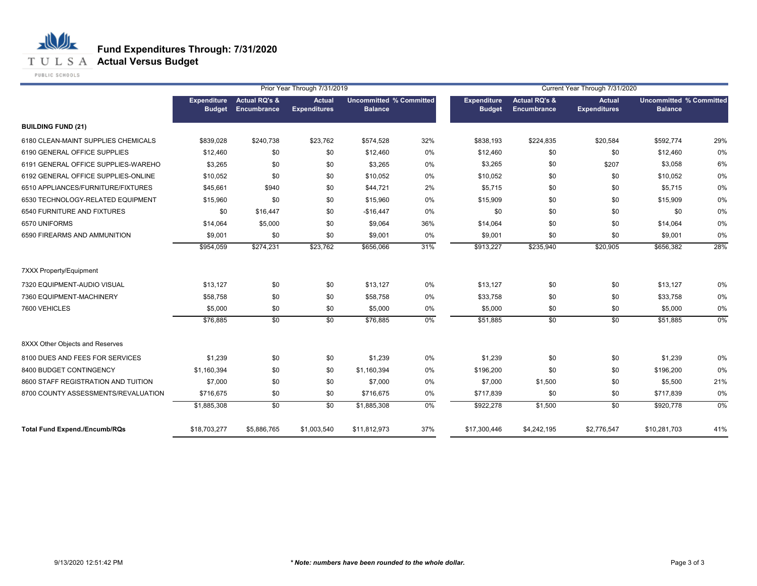**T U L S A Actual Versus Budget** 

PUBLIC SCHOOLS

|                                      |                                     | Prior Year Through 7/31/2019            |                               |                                                  |       |                              | Current Year Through 7/31/2020          |                                      |                                                  |       |  |  |
|--------------------------------------|-------------------------------------|-----------------------------------------|-------------------------------|--------------------------------------------------|-------|------------------------------|-----------------------------------------|--------------------------------------|--------------------------------------------------|-------|--|--|
|                                      | <b>Expenditure</b><br><b>Budget</b> | <b>Actual RQ's &amp;</b><br>Encumbrance | Actual<br><b>Expenditures</b> | <b>Uncommitted % Committed</b><br><b>Balance</b> |       | Expenditure<br><b>Budget</b> | <b>Actual RQ's &amp;</b><br>Encumbrance | <b>Actual</b><br><b>Expenditures</b> | <b>Uncommitted % Committed</b><br><b>Balance</b> |       |  |  |
| <b>BUILDING FUND (21)</b>            |                                     |                                         |                               |                                                  |       |                              |                                         |                                      |                                                  |       |  |  |
| 6180 CLEAN-MAINT SUPPLIES CHEMICALS  | \$839.028                           | \$240,738                               | \$23,762                      | \$574,528                                        | 32%   | \$838,193                    | \$224,835                               | \$20,584                             | \$592,774                                        | 29%   |  |  |
| 6190 GENERAL OFFICE SUPPLIES         | \$12,460                            | \$0                                     | \$0                           | \$12,460                                         | 0%    | \$12,460                     | \$0                                     | \$0                                  | \$12,460                                         | 0%    |  |  |
| 6191 GENERAL OFFICE SUPPLIES-WAREHO  | \$3,265                             | \$0                                     | \$0                           | \$3,265                                          | 0%    | \$3,265                      | \$0                                     | \$207                                | \$3,058                                          | 6%    |  |  |
| 6192 GENERAL OFFICE SUPPLIES-ONLINE  | \$10,052                            | \$0                                     | \$0                           | \$10,052                                         | 0%    | \$10,052                     | \$0                                     | \$0                                  | \$10,052                                         | 0%    |  |  |
| 6510 APPLIANCES/FURNITURE/FIXTURES   | \$45,661                            | \$940                                   | \$0                           | \$44,721                                         | 2%    | \$5,715                      | \$0                                     | \$0                                  | \$5,715                                          | 0%    |  |  |
| 6530 TECHNOLOGY-RELATED EQUIPMENT    | \$15,960                            | \$0                                     | \$0                           | \$15,960                                         | 0%    | \$15,909                     | \$0                                     | \$0                                  | \$15,909                                         | 0%    |  |  |
| 6540 FURNITURE AND FIXTURES          | \$0                                 | \$16,447                                | \$0                           | $-$16,447$                                       | 0%    | \$0                          | \$0                                     | \$0                                  | \$0                                              | 0%    |  |  |
| 6570 UNIFORMS                        | \$14,064                            | \$5,000                                 | \$0                           | \$9,064                                          | 36%   | \$14,064                     | \$0                                     | \$0                                  | \$14,064                                         | 0%    |  |  |
| 6590 FIREARMS AND AMMUNITION         | \$9,001                             | \$0                                     | \$0                           | \$9,001                                          | 0%    | \$9,001                      | \$0                                     | \$0                                  | \$9,001                                          | 0%    |  |  |
|                                      | \$954,059                           | \$274,231                               | \$23,762                      | \$656,066                                        | 31%   | \$913,227                    | \$235,940                               | \$20,905                             | \$656,382                                        | 28%   |  |  |
| 7XXX Property/Equipment              |                                     |                                         |                               |                                                  |       |                              |                                         |                                      |                                                  |       |  |  |
| 7320 EQUIPMENT-AUDIO VISUAL          | \$13,127                            | \$0                                     | \$0                           | \$13,127                                         | 0%    | \$13,127                     | \$0                                     | \$0                                  | \$13,127                                         | 0%    |  |  |
| 7360 EQUIPMENT-MACHINERY             | \$58,758                            | \$0                                     | \$0                           | \$58,758                                         | 0%    | \$33,758                     | \$0                                     | \$0                                  | \$33,758                                         | 0%    |  |  |
| 7600 VEHICLES                        | \$5,000                             | \$0                                     | \$0                           | \$5,000                                          | 0%    | \$5,000                      | \$0                                     | \$0                                  | \$5,000                                          | 0%    |  |  |
|                                      | \$76,885                            | $\overline{50}$                         | $\overline{30}$               | \$76,885                                         | $0\%$ | \$51,885                     | $\sqrt{6}$                              | \$0                                  | \$51,885                                         | $0\%$ |  |  |
| 8XXX Other Objects and Reserves      |                                     |                                         |                               |                                                  |       |                              |                                         |                                      |                                                  |       |  |  |
| 8100 DUES AND FEES FOR SERVICES      | \$1,239                             | \$0                                     | \$0                           | \$1,239                                          | 0%    | \$1,239                      | \$0                                     | \$0                                  | \$1,239                                          | 0%    |  |  |
| 8400 BUDGET CONTINGENCY              | \$1,160,394                         | \$0                                     | \$0                           | \$1,160,394                                      | 0%    | \$196,200                    | \$0                                     | \$0                                  | \$196,200                                        | 0%    |  |  |
| 8600 STAFF REGISTRATION AND TUITION  | \$7,000                             | \$0                                     | \$0                           | \$7,000                                          | 0%    | \$7,000                      | \$1,500                                 | \$0                                  | \$5,500                                          | 21%   |  |  |
| 8700 COUNTY ASSESSMENTS/REVALUATION  | \$716,675                           | \$0                                     | \$0                           | \$716,675                                        | 0%    | \$717,839                    | \$0                                     | \$0                                  | \$717,839                                        | 0%    |  |  |
|                                      | \$1,885,308                         | $\overline{50}$                         | $\overline{30}$               | \$1,885,308                                      | $0\%$ | \$922,278                    | \$1,500                                 | \$0                                  | \$920,778                                        | $0\%$ |  |  |
| <b>Total Fund Expend./Encumb/RQs</b> | \$18,703,277                        | \$5,886,765                             | \$1,003,540                   | \$11,812,973                                     | 37%   | \$17,300,446                 | \$4,242,195                             | \$2,776,547                          | \$10,281,703                                     | 41%   |  |  |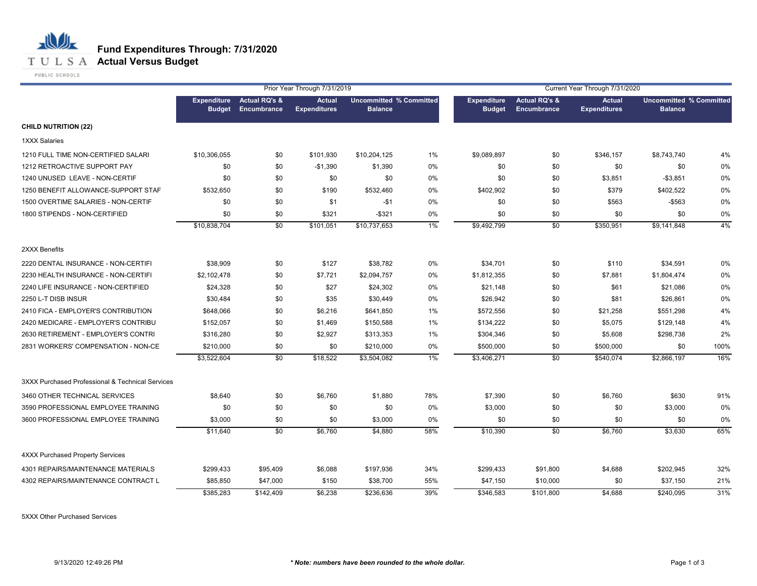

**T U L S A Actual Versus Budget** 

PUBLIC SCHOOLS

|                                                  |                                     |                                                | Prior Year Through 7/31/2019         |                                                  |     |                                     |                                         | Current Year Through 7/31/2020       |                                                  |      |
|--------------------------------------------------|-------------------------------------|------------------------------------------------|--------------------------------------|--------------------------------------------------|-----|-------------------------------------|-----------------------------------------|--------------------------------------|--------------------------------------------------|------|
|                                                  | <b>Expenditure</b><br><b>Budget</b> | <b>Actual RQ's &amp;</b><br><b>Encumbrance</b> | <b>Actual</b><br><b>Expenditures</b> | <b>Uncommitted % Committed</b><br><b>Balance</b> |     | <b>Expenditure</b><br><b>Budget</b> | <b>Actual RQ's &amp;</b><br>Encumbrance | <b>Actual</b><br><b>Expenditures</b> | <b>Uncommitted % Committed</b><br><b>Balance</b> |      |
| <b>CHILD NUTRITION (22)</b>                      |                                     |                                                |                                      |                                                  |     |                                     |                                         |                                      |                                                  |      |
| <b>1XXX Salaries</b>                             |                                     |                                                |                                      |                                                  |     |                                     |                                         |                                      |                                                  |      |
| 1210 FULL TIME NON-CERTIFIED SALARI              | \$10,306,055                        | \$0                                            | \$101,930                            | \$10,204,125                                     | 1%  | \$9,089,897                         | \$0                                     | \$346,157                            | \$8,743,740                                      | 4%   |
| 1212 RETROACTIVE SUPPORT PAY                     | \$0                                 | \$0                                            | $-$1,390$                            | \$1,390                                          | 0%  | \$0                                 | \$0                                     | \$0                                  | \$0                                              | 0%   |
| 1240 UNUSED LEAVE - NON-CERTIF                   | \$0                                 | \$0                                            | \$0                                  | \$0                                              | 0%  | \$0                                 | \$0                                     | \$3,851                              | $-$3,851$                                        | 0%   |
| 1250 BENEFIT ALLOWANCE-SUPPORT STAF              | \$532,650                           | \$0                                            | \$190                                | \$532,460                                        | 0%  | \$402,902                           | \$0                                     | \$379                                | \$402,522                                        | 0%   |
| 1500 OVERTIME SALARIES - NON-CERTIF              | \$0                                 | \$0                                            | \$1                                  | -\$1                                             | 0%  | \$0                                 | \$0                                     | \$563                                | $-$ \$563                                        | 0%   |
| 1800 STIPENDS - NON-CERTIFIED                    | \$0                                 | \$0                                            | \$321                                | $-$ \$321                                        | 0%  | \$0                                 | \$0                                     | \$0                                  | \$0                                              | 0%   |
|                                                  | \$10,838,704                        | \$0                                            | \$101,051                            | \$10,737,653                                     | 1%  | \$9,492,799                         | \$0                                     | \$350,951                            | \$9,141,848                                      | 4%   |
| 2XXX Benefits                                    |                                     |                                                |                                      |                                                  |     |                                     |                                         |                                      |                                                  |      |
| 2220 DENTAL INSURANCE - NON-CERTIFI              | \$38,909                            | \$0                                            | \$127                                | \$38,782                                         | 0%  | \$34,701                            | \$0                                     | \$110                                | \$34,591                                         | 0%   |
| 2230 HEALTH INSURANCE - NON-CERTIFI              | \$2,102,478                         | \$0                                            | \$7,721                              | \$2,094,757                                      | 0%  | \$1,812,355                         | \$0                                     | \$7,881                              | \$1,804,474                                      | 0%   |
| 2240 LIFE INSURANCE - NON-CERTIFIED              | \$24,328                            | \$0                                            | \$27                                 | \$24,302                                         | 0%  | \$21,148                            | \$0                                     | \$61                                 | \$21,086                                         | 0%   |
| 2250 L-T DISB INSUR                              | \$30,484                            | \$0                                            | \$35                                 | \$30,449                                         | 0%  | \$26,942                            | \$0                                     | \$81                                 | \$26,861                                         | 0%   |
| 2410 FICA - EMPLOYER'S CONTRIBUTION              | \$648,066                           | \$0                                            | \$6,216                              | \$641,850                                        | 1%  | \$572,556                           | \$0                                     | \$21,258                             | \$551,298                                        | 4%   |
| 2420 MEDICARE - EMPLOYER'S CONTRIBU              | \$152,057                           | \$0                                            | \$1,469                              | \$150,588                                        | 1%  | \$134,222                           | \$0                                     | \$5,075                              | \$129,148                                        | 4%   |
| 2630 RETIREMENT - EMPLOYER'S CONTRI              | \$316,280                           | \$0                                            | \$2,927                              | \$313,353                                        | 1%  | \$304,346                           | \$0                                     | \$5,608                              | \$298,738                                        | 2%   |
| 2831 WORKERS' COMPENSATION - NON-CE              | \$210,000                           | \$0                                            | \$0                                  | \$210,000                                        | 0%  | \$500,000                           | \$0                                     | \$500,000                            | \$0                                              | 100% |
|                                                  | \$3,522,604                         | \$0                                            | \$18,522                             | \$3,504,082                                      | 1%  | \$3,406,271                         | \$0                                     | \$540,074                            | \$2,866,197                                      | 16%  |
| 3XXX Purchased Professional & Technical Services |                                     |                                                |                                      |                                                  |     |                                     |                                         |                                      |                                                  |      |
| 3460 OTHER TECHNICAL SERVICES                    | \$8,640                             | \$0                                            | \$6,760                              | \$1,880                                          | 78% | \$7,390                             | \$0                                     | \$6,760                              | \$630                                            | 91%  |
| 3590 PROFESSIONAL EMPLOYEE TRAINING              | \$0                                 | \$0                                            | \$0                                  | \$0                                              | 0%  | \$3,000                             | \$0                                     | \$0                                  | \$3,000                                          | 0%   |
| 3600 PROFESSIONAL EMPLOYEE TRAINING              | \$3,000                             | \$0                                            | \$0                                  | \$3,000                                          | 0%  | \$0                                 | \$0                                     | \$0                                  | \$0                                              | 0%   |
|                                                  | \$11,640                            | \$0                                            | \$6,760                              | \$4,880                                          | 58% | \$10,390                            | \$0                                     | \$6,760                              | \$3,630                                          | 65%  |
| <b>4XXX Purchased Property Services</b>          |                                     |                                                |                                      |                                                  |     |                                     |                                         |                                      |                                                  |      |
| 4301 REPAIRS/MAINTENANCE MATERIALS               | \$299,433                           | \$95,409                                       | \$6,088                              | \$197,936                                        | 34% | \$299,433                           | \$91,800                                | \$4,688                              | \$202,945                                        | 32%  |
| 4302 REPAIRS/MAINTENANCE CONTRACT L              | \$85,850                            | \$47,000                                       | \$150                                | \$38,700                                         | 55% | \$47,150                            | \$10,000                                | \$0                                  | \$37,150                                         | 21%  |
|                                                  | \$385,283                           | \$142,409                                      | \$6,238                              | \$236,636                                        | 39% | \$346,583                           | \$101,800                               | \$4,688                              | \$240,095                                        | 31%  |

5XXX Other Purchased Services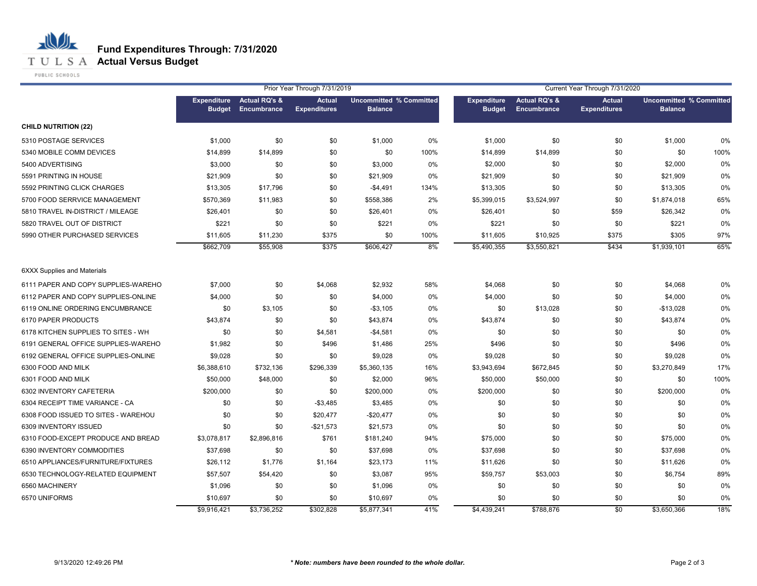**T U L S A Actual Versus Budget** 

PUBLIC SCHOOLS

| Prior Year Through 7/31/2019<br>Current Year Through 7/31/2020 |             |                                                        |                                      |                                                  |      |                                     |                                         |                                      |                                                  |      |
|----------------------------------------------------------------|-------------|--------------------------------------------------------|--------------------------------------|--------------------------------------------------|------|-------------------------------------|-----------------------------------------|--------------------------------------|--------------------------------------------------|------|
|                                                                |             | Expenditure Actual RQ's &<br><b>Budget Encumbrance</b> | <b>Actual</b><br><b>Expenditures</b> | <b>Uncommitted % Committed</b><br><b>Balance</b> |      | <b>Expenditure</b><br><b>Budget</b> | <b>Actual RQ's &amp;</b><br>Encumbrance | <b>Actual</b><br><b>Expenditures</b> | <b>Uncommitted % Committed</b><br><b>Balance</b> |      |
| <b>CHILD NUTRITION (22)</b>                                    |             |                                                        |                                      |                                                  |      |                                     |                                         |                                      |                                                  |      |
| 5310 POSTAGE SERVICES                                          | \$1,000     | \$0                                                    | \$0                                  | \$1,000                                          | 0%   | \$1,000                             | \$0                                     | \$0                                  | \$1,000                                          | 0%   |
| 5340 MOBILE COMM DEVICES                                       | \$14,899    | \$14,899                                               | \$0                                  | \$0                                              | 100% | \$14,899                            | \$14,899                                | \$0                                  | \$0                                              | 100% |
| 5400 ADVERTISING                                               | \$3,000     | \$0                                                    | \$0                                  | \$3,000                                          | 0%   | \$2,000                             | \$0                                     | \$0                                  | \$2,000                                          | 0%   |
| 5591 PRINTING IN HOUSE                                         | \$21,909    | \$0                                                    | \$0                                  | \$21,909                                         | 0%   | \$21,909                            | \$0                                     | \$0                                  | \$21,909                                         | 0%   |
| 5592 PRINTING CLICK CHARGES                                    | \$13,305    | \$17,796                                               | \$0                                  | $-$4,491$                                        | 134% | \$13,305                            | \$0                                     | \$0                                  | \$13,305                                         | 0%   |
| 5700 FOOD SERRVICE MANAGEMENT                                  | \$570,369   | \$11,983                                               | \$0                                  | \$558,386                                        | 2%   | \$5,399,015                         | \$3,524,997                             | \$0                                  | \$1,874,018                                      | 65%  |
| 5810 TRAVEL IN-DISTRICT / MILEAGE                              | \$26,401    | \$0                                                    | \$0                                  | \$26,401                                         | 0%   | \$26,401                            | \$0                                     | \$59                                 | \$26,342                                         | 0%   |
| 5820 TRAVEL OUT OF DISTRICT                                    | \$221       | \$0                                                    | \$0                                  | \$221                                            | 0%   | \$221                               | \$0                                     | \$0                                  | \$221                                            | 0%   |
| 5990 OTHER PURCHASED SERVICES                                  | \$11,605    | \$11,230                                               | \$375                                | \$0                                              | 100% | \$11,605                            | \$10,925                                | \$375                                | \$305                                            | 97%  |
|                                                                | \$662,709   | \$55,908                                               | \$375                                | \$606,427                                        | 8%   | \$5,490,355                         | \$3,550,821                             | \$434                                | \$1,939,101                                      | 65%  |
| <b>6XXX Supplies and Materials</b>                             |             |                                                        |                                      |                                                  |      |                                     |                                         |                                      |                                                  |      |
| 6111 PAPER AND COPY SUPPLIES-WAREHO                            | \$7,000     | \$0                                                    | \$4,068                              | \$2,932                                          | 58%  | \$4,068                             | \$0                                     | \$0                                  | \$4,068                                          | 0%   |
| 6112 PAPER AND COPY SUPPLIES-ONLINE                            | \$4,000     | \$0                                                    | \$0                                  | \$4,000                                          | 0%   | \$4,000                             | \$0                                     | \$0                                  | \$4,000                                          | 0%   |
| 6119 ONLINE ORDERING ENCUMBRANCE                               | \$0         | \$3,105                                                | \$0                                  | $-$3,105$                                        | 0%   | \$0                                 | \$13,028                                | \$0                                  | $-$13,028$                                       | 0%   |
| 6170 PAPER PRODUCTS                                            | \$43,874    | \$0                                                    | \$0                                  | \$43,874                                         | 0%   | \$43,874                            | \$0                                     | \$0                                  | \$43,874                                         | 0%   |
| 6178 KITCHEN SUPPLIES TO SITES - WH                            | \$0         | \$0                                                    | \$4,581                              | $-$4,581$                                        | 0%   | \$0                                 | \$0                                     | \$0                                  | \$0                                              | 0%   |
| 6191 GENERAL OFFICE SUPPLIES-WAREHO                            | \$1,982     | \$0                                                    | \$496                                | \$1,486                                          | 25%  | \$496                               | \$0                                     | \$0                                  | \$496                                            | 0%   |
| 6192 GENERAL OFFICE SUPPLIES-ONLINE                            | \$9,028     | \$0                                                    | \$0                                  | \$9,028                                          | 0%   | \$9,028                             | \$0                                     | \$0                                  | \$9,028                                          | 0%   |
| 6300 FOOD AND MILK                                             | \$6,388,610 | \$732,136                                              | \$296,339                            | \$5,360,135                                      | 16%  | \$3,943,694                         | \$672,845                               | \$0                                  | \$3,270,849                                      | 17%  |
| 6301 FOOD AND MILK                                             | \$50,000    | \$48,000                                               | \$0                                  | \$2,000                                          | 96%  | \$50,000                            | \$50,000                                | \$0                                  | \$0                                              | 100% |
| 6302 INVENTORY CAFETERIA                                       | \$200,000   | \$0                                                    | \$0                                  | \$200,000                                        | 0%   | \$200,000                           | \$0                                     | \$0                                  | \$200,000                                        | 0%   |
| 6304 RECEIPT TIME VARIANCE - CA                                | \$0         | \$0                                                    | $-$3,485$                            | \$3,485                                          | 0%   | \$0                                 | \$0                                     | \$0                                  | \$0                                              | 0%   |
| 6308 FOOD ISSUED TO SITES - WAREHOU                            | \$0         | \$0                                                    | \$20,477                             | $-$20,477$                                       | 0%   | \$0                                 | \$0                                     | \$0                                  | \$0                                              | 0%   |
| 6309 INVENTORY ISSUED                                          | \$0         | \$0                                                    | $-$21,573$                           | \$21,573                                         | 0%   | \$0                                 | \$0                                     | \$0                                  | \$0                                              | 0%   |
| 6310 FOOD-EXCEPT PRODUCE AND BREAD                             | \$3,078,817 | \$2,896,816                                            | \$761                                | \$181,240                                        | 94%  | \$75,000                            | \$0                                     | \$0                                  | \$75,000                                         | 0%   |
| 6390 INVENTORY COMMODITIES                                     | \$37,698    | \$0                                                    | \$0                                  | \$37,698                                         | 0%   | \$37,698                            | \$0                                     | \$0                                  | \$37,698                                         | 0%   |
| 6510 APPLIANCES/FURNITURE/FIXTURES                             | \$26,112    | \$1,776                                                | \$1,164                              | \$23,173                                         | 11%  | \$11,626                            | \$0                                     | \$0                                  | \$11,626                                         | 0%   |
| 6530 TECHNOLOGY-RELATED EQUIPMENT                              | \$57,507    | \$54,420                                               | \$0                                  | \$3,087                                          | 95%  | \$59,757                            | \$53,003                                | \$0                                  | \$6,754                                          | 89%  |
| 6560 MACHINERY                                                 | \$1,096     | \$0                                                    | \$0                                  | \$1,096                                          | 0%   | \$0                                 | \$0                                     | \$0                                  | \$0                                              | 0%   |
| 6570 UNIFORMS                                                  | \$10,697    | \$0                                                    | \$0                                  | \$10,697                                         | 0%   | \$0                                 | \$0                                     | \$0                                  | \$0                                              | 0%   |
|                                                                | \$9,916,421 | \$3.736.252                                            | \$302.828                            | \$5,877,341                                      | 41%  | \$4,439,241                         | \$788.876                               | \$0                                  | \$3.650.366                                      | 18%  |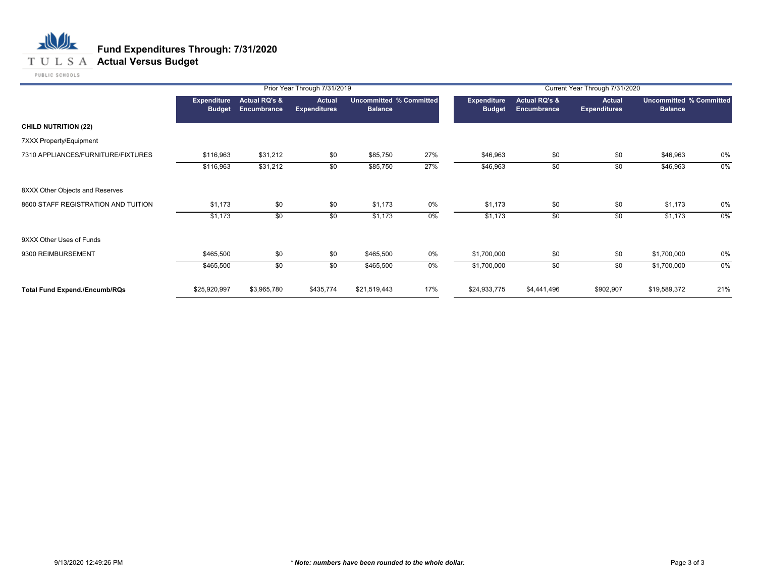**T U L S A Actual Versus Budget** 

PUBLIC SCHOOLS

|                                      |                                     |                                         | Prior Year Through 7/31/2019         |                                                  |       | Current Year Through 7/31/2020 |                              |                                      |                                                  |       |  |
|--------------------------------------|-------------------------------------|-----------------------------------------|--------------------------------------|--------------------------------------------------|-------|--------------------------------|------------------------------|--------------------------------------|--------------------------------------------------|-------|--|
|                                      | <b>Expenditure</b><br><b>Budget</b> | <b>Actual RQ's &amp;</b><br>Encumbrance | <b>Actual</b><br><b>Expenditures</b> | <b>Uncommitted % Committed</b><br><b>Balance</b> |       | Expenditure<br><b>Budget</b>   | Actual RQ's &<br>Encumbrance | <b>Actual</b><br><b>Expenditures</b> | <b>Uncommitted % Committed</b><br><b>Balance</b> |       |  |
| <b>CHILD NUTRITION (22)</b>          |                                     |                                         |                                      |                                                  |       |                                |                              |                                      |                                                  |       |  |
| 7XXX Property/Equipment              |                                     |                                         |                                      |                                                  |       |                                |                              |                                      |                                                  |       |  |
| 7310 APPLIANCES/FURNITURE/FIXTURES   | \$116,963                           | \$31,212                                | \$0                                  | \$85,750                                         | 27%   | \$46,963                       | \$0                          | \$0                                  | \$46,963                                         | 0%    |  |
|                                      | \$116,963                           | \$31,212                                | \$0                                  | \$85,750                                         | 27%   | \$46,963                       | $\sqrt{50}$                  | \$0                                  | \$46,963                                         | $0\%$ |  |
| 8XXX Other Objects and Reserves      |                                     |                                         |                                      |                                                  |       |                                |                              |                                      |                                                  |       |  |
| 8600 STAFF REGISTRATION AND TUITION  | \$1,173                             | \$0                                     | \$0                                  | \$1,173                                          | 0%    | \$1,173                        | \$0                          | \$0                                  | \$1,173                                          | 0%    |  |
|                                      | \$1,173                             | \$0                                     | \$0                                  | \$1,173                                          | $0\%$ | \$1,173                        | \$0                          | \$0                                  | \$1,173                                          | 0%    |  |
| 9XXX Other Uses of Funds             |                                     |                                         |                                      |                                                  |       |                                |                              |                                      |                                                  |       |  |
| 9300 REIMBURSEMENT                   | \$465,500                           | \$0                                     | \$0                                  | \$465,500                                        | 0%    | \$1,700,000                    | \$0                          | \$0                                  | \$1,700,000                                      | 0%    |  |
|                                      | \$465,500                           | \$0                                     | \$0                                  | \$465,500                                        | 0%    | \$1,700,000                    | \$0                          | \$0                                  | \$1,700,000                                      | 0%    |  |
| <b>Total Fund Expend./Encumb/RQs</b> | \$25,920,997                        | \$3,965,780                             | \$435,774                            | \$21,519,443                                     | 17%   | \$24,933,775                   | \$4,441,496                  | \$902,907                            | \$19,589,372                                     | 21%   |  |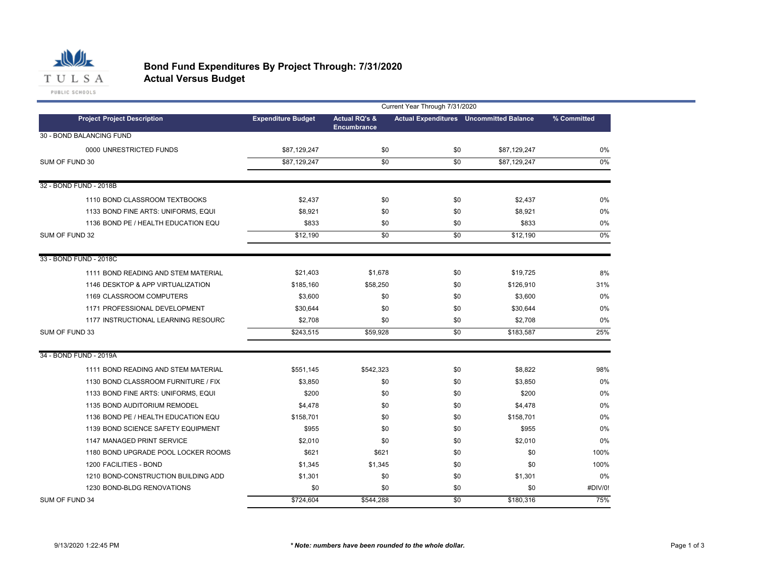

#### **Bond Fund Expenditures By Project Through: 7/31/2020 Actual Versus Budget**

|                                     |                           | Current Year Through 7/31/2020                 |                 |                                                |             |  |  |
|-------------------------------------|---------------------------|------------------------------------------------|-----------------|------------------------------------------------|-------------|--|--|
| <b>Project Project Description</b>  | <b>Expenditure Budget</b> | <b>Actual RQ's &amp;</b><br><b>Encumbrance</b> |                 | <b>Actual Expenditures</b> Uncommitted Balance | % Committed |  |  |
| 30 - BOND BALANCING FUND            |                           |                                                |                 |                                                |             |  |  |
| 0000 UNRESTRICTED FUNDS             | \$87,129,247              | \$0                                            | \$0             | \$87,129,247                                   | 0%          |  |  |
| SUM OF FUND 30                      | \$87,129,247              | \$0                                            | $\overline{50}$ | \$87,129,247                                   | $0\%$       |  |  |
| 32 - BOND FUND - 2018B              |                           |                                                |                 |                                                |             |  |  |
| 1110 BOND CLASSROOM TEXTBOOKS       | \$2,437                   | \$0                                            | \$0             | \$2,437                                        | $0\%$       |  |  |
| 1133 BOND FINE ARTS: UNIFORMS, EQUI | \$8,921                   | \$0                                            | \$0             | \$8,921                                        | 0%          |  |  |
| 1136 BOND PE / HEALTH EDUCATION EQU | \$833                     | \$0                                            | \$0             | \$833                                          | $0\%$       |  |  |
| SUM OF FUND 32                      | \$12,190                  | \$0                                            | \$0             | \$12,190                                       | $0\%$       |  |  |
| 33 - BOND FUND - 2018C              |                           |                                                |                 |                                                |             |  |  |
| 1111 BOND READING AND STEM MATERIAL | \$21,403                  | \$1,678                                        | \$0             | \$19,725                                       | 8%          |  |  |
| 1146 DESKTOP & APP VIRTUALIZATION   | \$185,160                 | \$58,250                                       | \$0             | \$126,910                                      | 31%         |  |  |
| 1169 CLASSROOM COMPUTERS            | \$3,600                   | \$0                                            | \$0             | \$3,600                                        | 0%          |  |  |
| 1171 PROFESSIONAL DEVELOPMENT       | \$30,644                  | \$0                                            | \$0             | \$30,644                                       | 0%          |  |  |
| 1177 INSTRUCTIONAL LEARNING RESOURC | \$2,708                   | \$0                                            | \$0             | \$2,708                                        | 0%          |  |  |
| SUM OF FUND 33                      | \$243,515                 | \$59,928                                       | \$0             | \$183,587                                      | 25%         |  |  |
| 34 - BOND FUND - 2019A              |                           |                                                |                 |                                                |             |  |  |
| 1111 BOND READING AND STEM MATERIAL | \$551,145                 | \$542,323                                      | \$0             | \$8,822                                        | 98%         |  |  |
| 1130 BOND CLASSROOM FURNITURE / FIX | \$3,850                   | \$0                                            | \$0             | \$3,850                                        | $0\%$       |  |  |
| 1133 BOND FINE ARTS: UNIFORMS, EQUI | \$200                     | \$0                                            | \$0             | \$200                                          | 0%          |  |  |
| 1135 BOND AUDITORIUM REMODEL        | \$4,478                   | \$0                                            | \$0             | \$4,478                                        | 0%          |  |  |
| 1136 BOND PE / HEALTH EDUCATION EQU | \$158,701                 | \$0                                            | \$0             | \$158,701                                      | 0%          |  |  |
| 1139 BOND SCIENCE SAFETY EQUIPMENT  | \$955                     | \$0                                            | \$0             | \$955                                          | 0%          |  |  |
| 1147 MANAGED PRINT SERVICE          | \$2,010                   | \$0                                            | \$0             | \$2,010                                        | 0%          |  |  |
| 1180 BOND UPGRADE POOL LOCKER ROOMS | \$621                     | \$621                                          | \$0             | \$0                                            | 100%        |  |  |
| 1200 FACILITIES - BOND              | \$1,345                   | \$1,345                                        | \$0             | \$0                                            | 100%        |  |  |
| 1210 BOND-CONSTRUCTION BUILDING ADD | \$1,301                   | \$0                                            | \$0             | \$1,301                                        | 0%          |  |  |
| 1230 BOND-BLDG RENOVATIONS          | \$0                       | \$0                                            | \$0             | \$0                                            | #DIV/0!     |  |  |
| SUM OF FUND 34                      | \$724,604                 | \$544,288                                      | \$0             | \$180,316                                      | 75%         |  |  |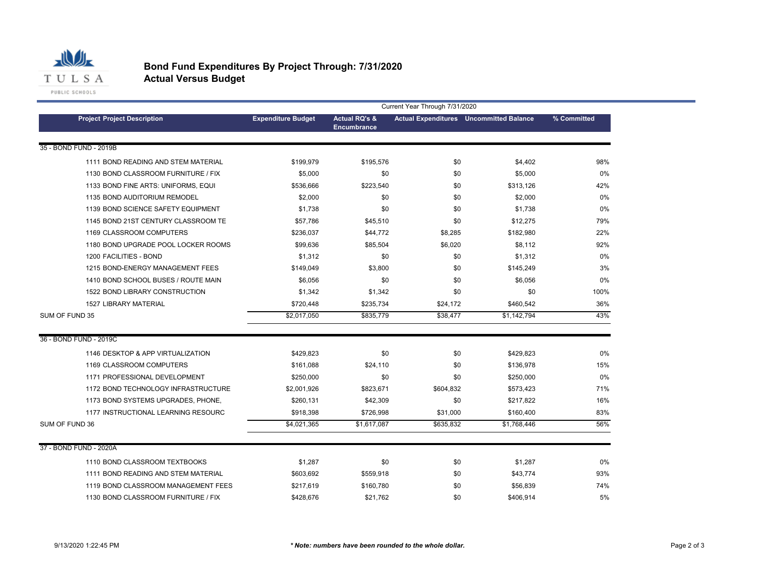

#### **Bond Fund Expenditures By Project Through: 7/31/2020 Actual Versus Budget**

|                                     | Current Year Through 7/31/2020 |                                                |           |                                                |             |  |  |
|-------------------------------------|--------------------------------|------------------------------------------------|-----------|------------------------------------------------|-------------|--|--|
| <b>Project Project Description</b>  | <b>Expenditure Budget</b>      | <b>Actual RQ's &amp;</b><br><b>Encumbrance</b> |           | <b>Actual Expenditures</b> Uncommitted Balance | % Committed |  |  |
| 35 - BOND FUND - 2019B              |                                |                                                |           |                                                |             |  |  |
| 1111 BOND READING AND STEM MATERIAL | \$199,979                      | \$195,576                                      | \$0       | \$4,402                                        | 98%         |  |  |
| 1130 BOND CLASSROOM FURNITURE / FIX | \$5,000                        | \$0                                            | \$0       | \$5,000                                        | 0%          |  |  |
| 1133 BOND FINE ARTS: UNIFORMS, EQUI | \$536,666                      | \$223,540                                      | \$0       | \$313,126                                      | 42%         |  |  |
| 1135 BOND AUDITORIUM REMODEL        | \$2,000                        | \$0                                            | \$0       | \$2,000                                        | 0%          |  |  |
| 1139 BOND SCIENCE SAFETY EQUIPMENT  | \$1,738                        | \$0                                            | \$0       | \$1,738                                        | 0%          |  |  |
| 1145 BOND 21ST CENTURY CLASSROOM TE | \$57,786                       | \$45,510                                       | \$0       | \$12,275                                       | 79%         |  |  |
| 1169 CLASSROOM COMPUTERS            | \$236,037                      | \$44,772                                       | \$8,285   | \$182,980                                      | 22%         |  |  |
| 1180 BOND UPGRADE POOL LOCKER ROOMS | \$99,636                       | \$85,504                                       | \$6,020   | \$8.112                                        | 92%         |  |  |
| 1200 FACILITIES - BOND              | \$1,312                        | \$0                                            | \$0       | \$1.312                                        | 0%          |  |  |
| 1215 BOND-ENERGY MANAGEMENT FEES    | \$149.049                      | \$3,800                                        | \$0       | \$145.249                                      | 3%          |  |  |
| 1410 BOND SCHOOL BUSES / ROUTE MAIN | \$6.056                        | \$0                                            | \$0       | \$6.056                                        | 0%          |  |  |
| 1522 BOND LIBRARY CONSTRUCTION      | \$1,342                        | \$1,342                                        | \$0       | \$0                                            | 100%        |  |  |
| 1527 LIBRARY MATERIAL               | \$720,448                      | \$235,734                                      | \$24,172  | \$460,542                                      | 36%         |  |  |
| SUM OF FUND 35                      | \$2,017,050                    | \$835,779                                      | \$38,477  | \$1,142,794                                    | 43%         |  |  |
| 36 - BOND FUND - 2019C              |                                |                                                |           |                                                |             |  |  |
| 1146 DESKTOP & APP VIRTUALIZATION   | \$429.823                      | \$0                                            | \$0       | \$429,823                                      | 0%          |  |  |
| 1169 CLASSROOM COMPUTERS            | \$161,088                      | \$24,110                                       | \$0       | \$136,978                                      | 15%         |  |  |
| 1171 PROFESSIONAL DEVELOPMENT       | \$250,000                      | \$0                                            | \$0       | \$250,000                                      | 0%          |  |  |
| 1172 BOND TECHNOLOGY INFRASTRUCTURE | \$2,001,926                    | \$823,671                                      | \$604,832 | \$573,423                                      | 71%         |  |  |
| 1173 BOND SYSTEMS UPGRADES, PHONE,  | \$260,131                      | \$42,309                                       | \$0       | \$217,822                                      | 16%         |  |  |
| 1177 INSTRUCTIONAL LEARNING RESOURC | \$918,398                      | \$726,998                                      | \$31,000  | \$160,400                                      | 83%         |  |  |
| SUM OF FUND 36                      | \$4,021,365                    | \$1,617,087                                    | \$635,832 | \$1,768,446                                    | 56%         |  |  |
| 37 - BOND FUND - 2020A              |                                |                                                |           |                                                |             |  |  |
| 1110 BOND CLASSROOM TEXTBOOKS       | \$1,287                        | \$0                                            | \$0       | \$1,287                                        | 0%          |  |  |
| 1111 BOND READING AND STEM MATERIAL | \$603,692                      | \$559,918                                      | \$0       | \$43,774                                       | 93%         |  |  |
| 1119 BOND CLASSROOM MANAGEMENT FEES | \$217,619                      | \$160,780                                      | \$0       | \$56,839                                       | 74%         |  |  |
| 1130 BOND CLASSROOM FURNITURE / FIX | \$428.676                      | \$21.762                                       | \$0       | \$406,914                                      | 5%          |  |  |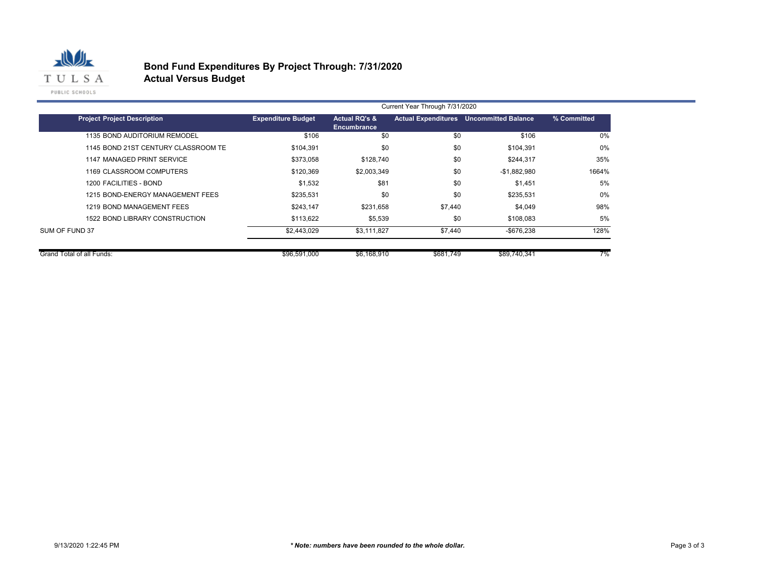

# **Bond Fund Expenditures By Project Through: 7/31/2020**

**Actual Versus Budget**

|                                     | Current Year Through 7/31/2020 |                                         |                            |                            |             |  |
|-------------------------------------|--------------------------------|-----------------------------------------|----------------------------|----------------------------|-------------|--|
| <b>Project Project Description</b>  | <b>Expenditure Budget</b>      | <b>Actual RQ's &amp;</b><br>Encumbrance | <b>Actual Expenditures</b> | <b>Uncommitted Balance</b> | % Committed |  |
| 1135 BOND AUDITORIUM REMODEL        | \$106                          | \$0                                     | \$0                        | \$106                      | 0%          |  |
| 1145 BOND 21ST CENTURY CLASSROOM TE | \$104,391                      | \$0                                     | \$0                        | \$104,391                  | 0%          |  |
| 1147 MANAGED PRINT SERVICE          | \$373,058                      | \$128,740                               | \$0                        | \$244,317                  | 35%         |  |
| 1169 CLASSROOM COMPUTERS            | \$120.369                      | \$2,003,349                             | \$0                        | $-$1,882,980$              | 1664%       |  |
| 1200 FACILITIES - BOND              | \$1,532                        | \$81                                    | \$0                        | \$1,451                    | 5%          |  |
| 1215 BOND-ENERGY MANAGEMENT FEES    | \$235,531                      | \$0                                     | \$0                        | \$235,531                  | 0%          |  |
| 1219 BOND MANAGEMENT FEES           | \$243,147                      | \$231,658                               | \$7,440                    | \$4,049                    | 98%         |  |
| 1522 BOND LIBRARY CONSTRUCTION      | \$113,622                      | \$5,539                                 | \$0                        | \$108,083                  | 5%          |  |
| SUM OF FUND 37                      | \$2,443,029                    | \$3,111,827                             | \$7,440                    | $-$ \$676,238              | 128%        |  |
|                                     |                                |                                         |                            |                            |             |  |
| Grand Total of all Funds:           | \$96,591,000                   | \$6,168,910                             | \$681,749                  | \$89,740,341               | 7%          |  |